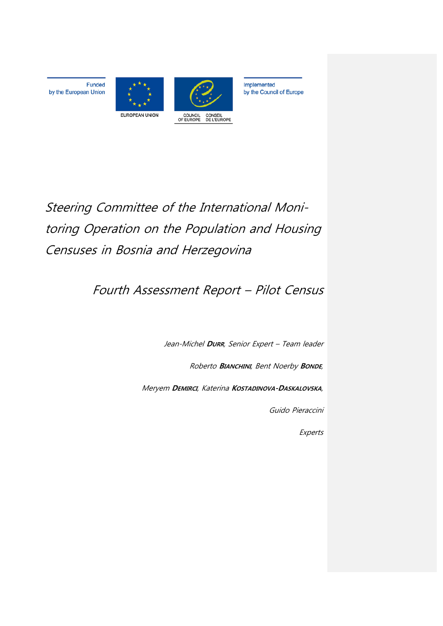

Funded

by the European Union



Implemented by the Council of Europe

Steering Committee of the International Monitoring Operation on the Population and Housing Censuses in Bosnia and Herzegovina

# Fourth Assessment Report – Pilot Census

Jean-Michel **DURR**, Senior Expert – Team leader

Roberto **BIANCHINI**, Bent Noerby **BONDE**,

Meryem **DEMIRCI**, Katerina **KOSTADINOVA-DASKALOVSKA**,

Guido Pieraccini

Experts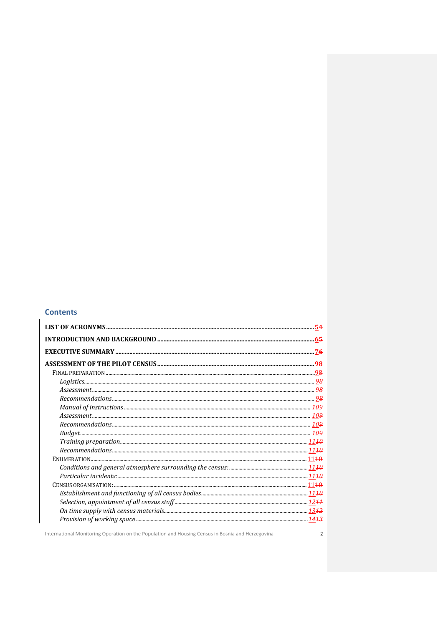## **Contents**

International Monitoring Operation on the Population and Housing Census in Bosnia and Herzegovina

 $\overline{2}$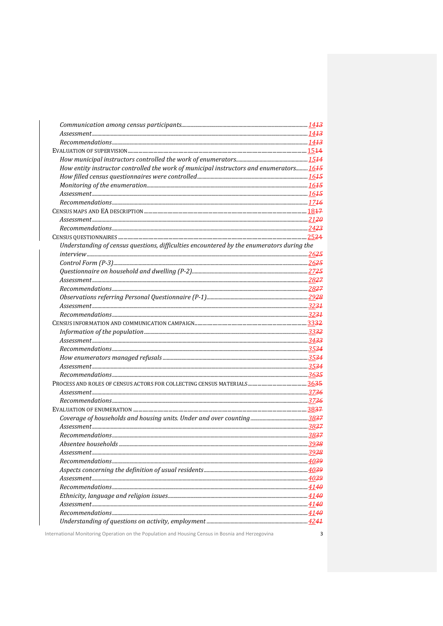| How entity instructor controlled the work of municipal instructors and enumerators 1645   |  |
|-------------------------------------------------------------------------------------------|--|
|                                                                                           |  |
|                                                                                           |  |
|                                                                                           |  |
|                                                                                           |  |
|                                                                                           |  |
|                                                                                           |  |
|                                                                                           |  |
|                                                                                           |  |
| Understanding of census questions, difficulties encountered by the enumerators during the |  |
|                                                                                           |  |
|                                                                                           |  |
|                                                                                           |  |
|                                                                                           |  |
|                                                                                           |  |
|                                                                                           |  |
|                                                                                           |  |
|                                                                                           |  |
|                                                                                           |  |
|                                                                                           |  |
|                                                                                           |  |
|                                                                                           |  |
|                                                                                           |  |
|                                                                                           |  |
|                                                                                           |  |
|                                                                                           |  |
|                                                                                           |  |
|                                                                                           |  |
|                                                                                           |  |
|                                                                                           |  |
|                                                                                           |  |
|                                                                                           |  |
|                                                                                           |  |
| Assessment                                                                                |  |
|                                                                                           |  |
|                                                                                           |  |
|                                                                                           |  |
|                                                                                           |  |
|                                                                                           |  |
|                                                                                           |  |
|                                                                                           |  |
|                                                                                           |  |
|                                                                                           |  |

International Monitoring Operation on the Population and Housing Census in Bosnia and Herzegovina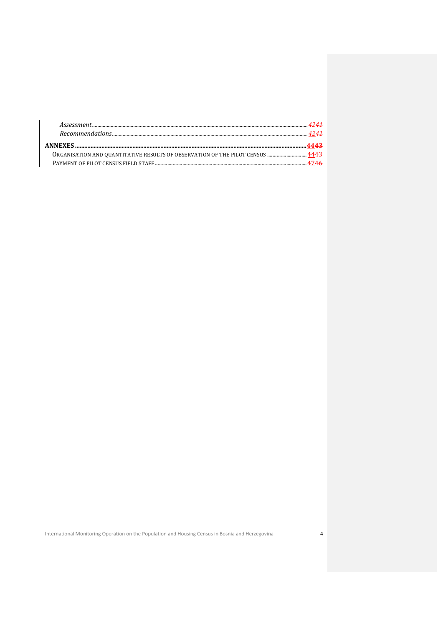| ORGANISATION AND QUANTITATIVE RESULTS OF OBSERVATION OF THE PILOT CENSUS  4443 |  |
|--------------------------------------------------------------------------------|--|
|                                                                                |  |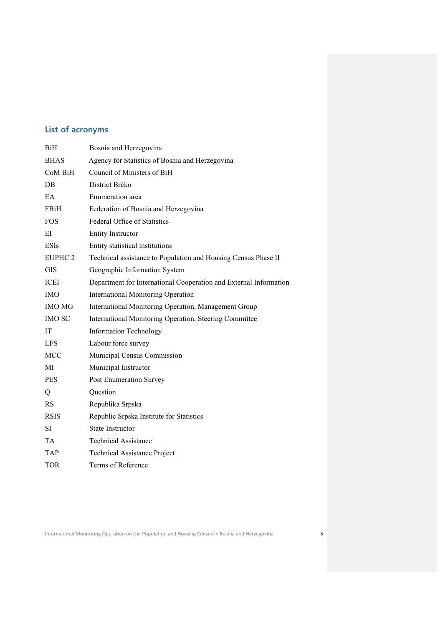## **List of acronyms**

| <b>BiH</b>         | Bosnia and Herzegovina                                            |  |  |
|--------------------|-------------------------------------------------------------------|--|--|
| <b>BHAS</b>        | Agency for Statistics of Bosnia and Herzegovina                   |  |  |
| CoM BiH            | Council of Ministers of BiH                                       |  |  |
| DB                 | District Brčko                                                    |  |  |
| EA                 | Enumeration area                                                  |  |  |
| <b>FBiH</b>        | Federation of Bosnia and Herzegovina                              |  |  |
| <b>FOS</b>         | <b>Federal Office of Statistics</b>                               |  |  |
| ΕI                 | <b>Entity Instructor</b>                                          |  |  |
| <b>ESIs</b>        | Entity statistical institutions                                   |  |  |
| EUPHC <sub>2</sub> | Technical assistance to Population and Housing Census Phase II    |  |  |
| <b>GIS</b>         | Geographic Information System                                     |  |  |
| ICEI               | Department for International Cooperation and External Information |  |  |
| <b>IMO</b>         | <b>International Monitoring Operation</b>                         |  |  |
| <b>IMO MG</b>      | International Monitoring Operation, Management Group              |  |  |
| <b>IMO SC</b>      | International Monitoring Operation, Steering Committee            |  |  |
| <b>IT</b>          | <b>Information Technology</b>                                     |  |  |
| <b>LFS</b>         | Labour force survey                                               |  |  |
| MCC                | Municipal Census Commission                                       |  |  |
| MI                 | Municipal Instructor                                              |  |  |
| <b>PES</b>         | Post Enumeration Survey                                           |  |  |
| Q                  | Question                                                          |  |  |
| RS                 | Republika Srpska                                                  |  |  |
| <b>RSIS</b>        | Republic Srpska Institute for Statistics                          |  |  |
| SI                 | <b>State Instructor</b>                                           |  |  |
| <b>TA</b>          | <b>Technical Assistance</b>                                       |  |  |
| <b>TAP</b>         | <b>Technical Assistance Project</b>                               |  |  |
| <b>TOR</b>         | Terms of Reference                                                |  |  |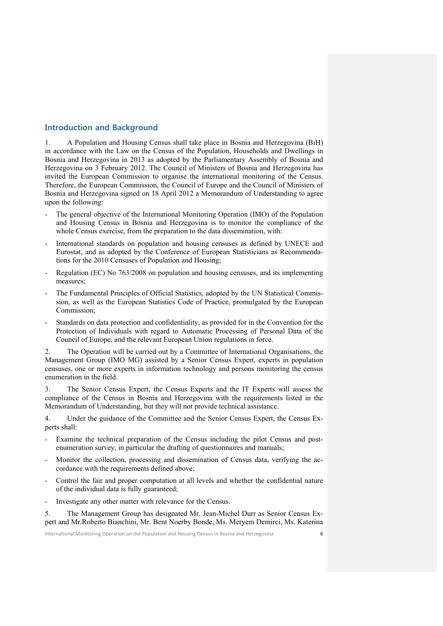## **Introduction and Background**

1. A Population and Housing Census shall take place in Bosnia and Herzegovina (BiH) in accordance with the Law on the Census of the Population, Households and Dwellings in Bosnia and Herzegovina in 2013 as adopted by the Parliamentary Assembly of Bosnia and Herzegovina on 3 February 2012. The Council of Ministers of Bosnia and Herzegovina has invited the European Commission to organise the international monitoring of the Census. Therefore, the European Commission, the Council of Europe and the Council of Ministers of Bosnia and Herzegovina signed on 18 April 2012 a Memorandum of Understanding to agree upon the following:

- The general objective of the International Monitoring Operation (IMO) of the Population and Housing Census in Bosnia and Herzegovina is to monitor the compliance of the whole Census exercise, from the preparation to the data dissemination, with:
- International standards on population and housing censuses as defined by UNECE and Eurostat, and as adopted by the Conference of European Statisticians as Recommendations for the 2010 Censuses of Population and Housing;
- Regulation (EC) No 763/2008 on population and housing censuses, and its implementing measures;
- The Fundamental Principles of Official Statistics, adopted by the UN Statistical Commission, as well as the European Statistics Code of Practice, promulgated by the European Commission;
- Standards on data protection and confidentiality, as provided for in the Convention for the Protection of Individuals with regard to Automatic Processing of Personal Data of the Council of Europe, and the relevant European Union regulations in force.

2. The Operation will be carried out by a Committee of International Organisations, the Management Group (IMO MG) assisted by a Senior Census Expert, experts in population censuses, one or more experts in information technology and persons monitoring the census enumeration in the field.

3. The Senior Census Expert, the Census Experts and the IT Experts will assess the compliance of the Census in Bosnia and Herzegovina with the requirements listed in the Memorandum of Understanding, but they will not provide technical assistance.

4. Under the guidance of the Committee and the Senior Census Expert, the Census Experts shall:

- Examine the technical preparation of the Census including the pilot Census and postenumeration survey, in particular the drafting of questionnaires and manuals;
- Monitor the collection, processing and dissemination of Census data, verifying the accordance with the requirements defined above;
- Control the fair and proper computation at all levels and whether the confidential nature of the individual data is fully guaranteed;
- Investigate any other matter with relevance for the Census.

5. The Management Group has designated Mr. Jean-Michel Durr as Senior Census Expert and Mr.Roberto Bianchini, Mr. Bent Noerby Bonde, Ms. Meryem Demirci, Ms. Katerina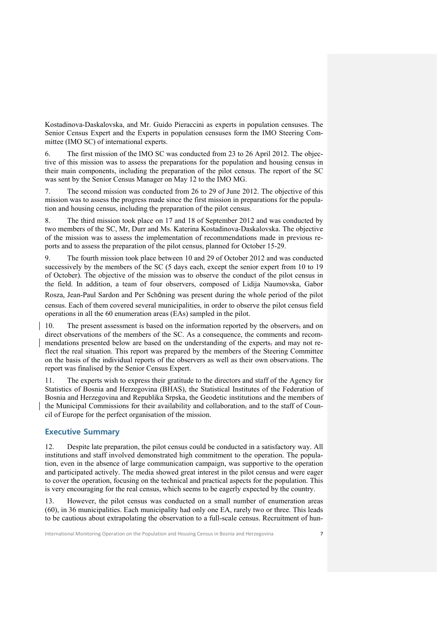Kostadinova-Daskalovska, and Mr. Guido Pieraccini as experts in population censuses. The Senior Census Expert and the Experts in population censuses form the IMO Steering Committee (IMO SC) of international experts.

6. The first mission of the IMO SC was conducted from 23 to 26 April 2012. The objective of this mission was to assess the preparations for the population and housing census in their main components, including the preparation of the pilot census. The report of the SC was sent by the Senior Census Manager on May 12 to the IMO MG.

7. The second mission was conducted from 26 to 29 of June 2012. The objective of this mission was to assess the progress made since the first mission in preparations for the population and housing census, including the preparation of the pilot census.

8. The third mission took place on 17 and 18 of September 2012 and was conducted by two members of the SC, Mr, Durr and Ms. Katerina Kostadinova-Daskalovska. The objective of the mission was to assess the implementation of recommendations made in previous reports and to assess the preparation of the pilot census, planned for October 15-29.

9. The fourth mission took place between 10 and 29 of October 2012 and was conducted successively by the members of the SC (5 days each, except the senior expert from 10 to 19 of October). The objective of the mission was to observe the conduct of the pilot census in the field. In addition, a team of four observers, composed of Lidija Naumovska, Gabor

Rosza, Jean-Paul Sardon and Per Schöning was present during the whole period of the pilot census. Each of them covered several municipalities, in order to observe the pilot census field operations in all the 60 enumeration areas (EAs) sampled in the pilot.

10. The present assessment is based on the information reported by the observers, and on direct observations of the members of the SC. As a consequence, the comments and recommendations presented below are based on the understanding of the experts, and may not reflect the real situation. This report was prepared by the members of the Steering Committee on the basis of the individual reports of the observers as well as their own observations. The report was finalised by the Senior Census Expert.

11. The experts wish to express their gratitude to the directors and staff of the Agency for Statistics of Bosnia and Herzegovina (BHAS), the Statistical Institutes of the Federation of Bosnia and Herzegovina and Republika Srpska, the Geodetic institutions and the members of the Municipal Commissions for their availability and collaboration, and to the staff of Council of Europe for the perfect organisation of the mission.

## **Executive Summary**

12. Despite late preparation, the pilot census could be conducted in a satisfactory way. All institutions and staff involved demonstrated high commitment to the operation. The population, even in the absence of large communication campaign, was supportive to the operation and participated actively. The media showed great interest in the pilot census and were eager to cover the operation, focusing on the technical and practical aspects for the population. This is very encouraging for the real census, which seems to be eagerly expected by the country.

13. However, the pilot census was conducted on a small number of enumeration areas (60), in 36 municipalities. Each municipality had only one EA, rarely two or three. This leads to be cautious about extrapolating the observation to a full-scale census. Recruitment of hun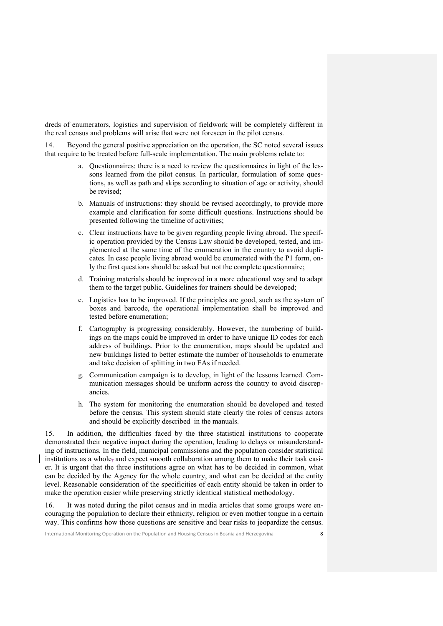dreds of enumerators, logistics and supervision of fieldwork will be completely different in the real census and problems will arise that were not foreseen in the pilot census.

14. Beyond the general positive appreciation on the operation, the SC noted several issues that require to be treated before full-scale implementation. The main problems relate to:

- a. Questionnaires: there is a need to review the questionnaires in light of the lessons learned from the pilot census. In particular, formulation of some questions, as well as path and skips according to situation of age or activity, should be revised;
- b. Manuals of instructions: they should be revised accordingly, to provide more example and clarification for some difficult questions. Instructions should be presented following the timeline of activities;
- c. Clear instructions have to be given regarding people living abroad. The specific operation provided by the Census Law should be developed, tested, and implemented at the same time of the enumeration in the country to avoid duplicates. In case people living abroad would be enumerated with the P1 form, only the first questions should be asked but not the complete questionnaire;
- d. Training materials should be improved in a more educational way and to adapt them to the target public. Guidelines for trainers should be developed;
- e. Logistics has to be improved. If the principles are good, such as the system of boxes and barcode, the operational implementation shall be improved and tested before enumeration;
- f. Cartography is progressing considerably. However, the numbering of buildings on the maps could be improved in order to have unique ID codes for each address of buildings. Prior to the enumeration, maps should be updated and new buildings listed to better estimate the number of households to enumerate and take decision of splitting in two EAs if needed.
- g. Communication campaign is to develop, in light of the lessons learned. Communication messages should be uniform across the country to avoid discrepancies.
- h. The system for monitoring the enumeration should be developed and tested before the census. This system should state clearly the roles of census actors and should be explicitly described in the manuals.

15. In addition, the difficulties faced by the three statistical institutions to cooperate demonstrated their negative impact during the operation, leading to delays or misunderstanding of instructions. In the field, municipal commissions and the population consider statistical institutions as a whole, and expect smooth collaboration among them to make their task easier. It is urgent that the three institutions agree on what has to be decided in common, what can be decided by the Agency for the whole country, and what can be decided at the entity level. Reasonable consideration of the specificities of each entity should be taken in order to make the operation easier while preserving strictly identical statistical methodology.

16. It was noted during the pilot census and in media articles that some groups were encouraging the population to declare their ethnicity, religion or even mother tongue in a certain way. This confirms how those questions are sensitive and bear risks to jeopardize the census.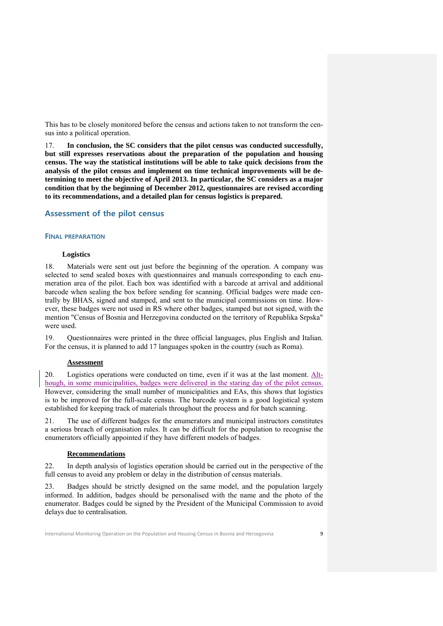This has to be closely monitored before the census and actions taken to not transform the census into a political operation.

17. **In conclusion, the SC considers that the pilot census was conducted successfully, but still expresses reservations about the preparation of the population and housing census. The way the statistical institutions will be able to take quick decisions from the analysis of the pilot census and implement on time technical improvements will be determining to meet the objective of April 2013. In particular, the SC considers as a major condition that by the beginning of December 2012, questionnaires are revised according to its recommendations, and a detailed plan for census logistics is prepared.**

## **Assessment of the pilot census**

## **FINAL PREPARATION**

#### **Logistics**

18. Materials were sent out just before the beginning of the operation. A company was selected to send sealed boxes with questionnaires and manuals corresponding to each enumeration area of the pilot. Each box was identified with a barcode at arrival and additional barcode when sealing the box before sending for scanning. Official badges were made centrally by BHAS, signed and stamped, and sent to the municipal commissions on time. However, these badges were not used in RS where other badges, stamped but not signed, with the mention "Census of Bosnia and Herzegovina conducted on the territory of Republika Srpska" were used.

19. Questionnaires were printed in the three official languages, plus English and Italian. For the census, it is planned to add 17 languages spoken in the country (such as Roma).

#### **Assessment**

20. Logistics operations were conducted on time, even if it was at the last moment. Although, in some municipalities, badges were delivered in the staring day of the pilot census. However, considering the small number of municipalities and EAs, this shows that logistics is to be improved for the full-scale census. The barcode system is a good logistical system established for keeping track of materials throughout the process and for batch scanning.

21. The use of different badges for the enumerators and municipal instructors constitutes a serious breach of organisation rules. It can be difficult for the population to recognise the enumerators officially appointed if they have different models of badges.

#### **Recommendations**

22. In depth analysis of logistics operation should be carried out in the perspective of the full census to avoid any problem or delay in the distribution of census materials.

23. Badges should be strictly designed on the same model, and the population largely informed. In addition, badges should be personalised with the name and the photo of the enumerator. Badges could be signed by the President of the Municipal Commission to avoid delays due to centralisation.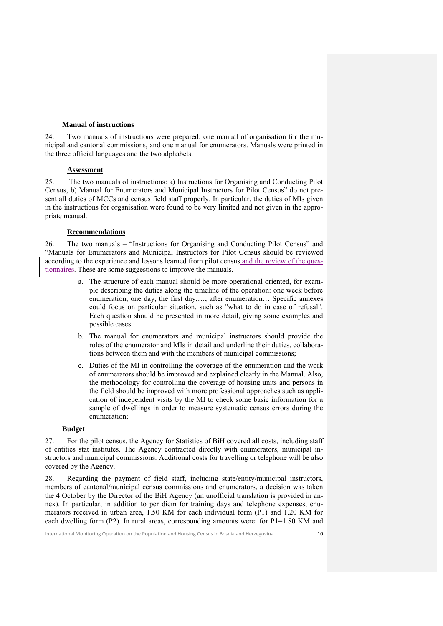#### **Manual of instructions**

24. Two manuals of instructions were prepared: one manual of organisation for the municipal and cantonal commissions, and one manual for enumerators. Manuals were printed in the three official languages and the two alphabets.

## **Assessment**

25. The two manuals of instructions: a) Instructions for Organising and Conducting Pilot Census, b) Manual for Enumerators and Municipal Instructors for Pilot Census" do not present all duties of MCCs and census field staff properly. In particular, the duties of MIs given in the instructions for organisation were found to be very limited and not given in the appropriate manual.

#### **Recommendations**

26. The two manuals – "Instructions for Organising and Conducting Pilot Census" and "Manuals for Enumerators and Municipal Instructors for Pilot Census should be reviewed according to the experience and lessons learned from pilot census and the review of the questionnaires. These are some suggestions to improve the manuals.

- a. The structure of each manual should be more operational oriented, for example describing the duties along the timeline of the operation: one week before enumeration, one day, the first day,…, after enumeration… Specific annexes could focus on particular situation, such as "what to do in case of refusal". Each question should be presented in more detail, giving some examples and possible cases.
- b. The manual for enumerators and municipal instructors should provide the roles of the enumerator and MIs in detail and underline their duties, collaborations between them and with the members of municipal commissions;
- c. Duties of the MI in controlling the coverage of the enumeration and the work of enumerators should be improved and explained clearly in the Manual. Also, the methodology for controlling the coverage of housing units and persons in the field should be improved with more professional approaches such as application of independent visits by the MI to check some basic information for a sample of dwellings in order to measure systematic census errors during the enumeration;

#### **Budget**

27. For the pilot census, the Agency for Statistics of BiH covered all costs, including staff of entities stat institutes. The Agency contracted directly with enumerators, municipal instructors and municipal commissions. Additional costs for travelling or telephone will be also covered by the Agency.

28. Regarding the payment of field staff, including state/entity/municipal instructors, members of cantonal/municipal census commissions and enumerators, a decision was taken the 4 October by the Director of the BiH Agency (an unofficial translation is provided in annex). In particular, in addition to per diem for training days and telephone expenses, enumerators received in urban area, 1.50 KM for each individual form (P1) and 1.20 KM for each dwelling form  $(P2)$ . In rural areas, corresponding amounts were: for  $P1=1.80$  KM and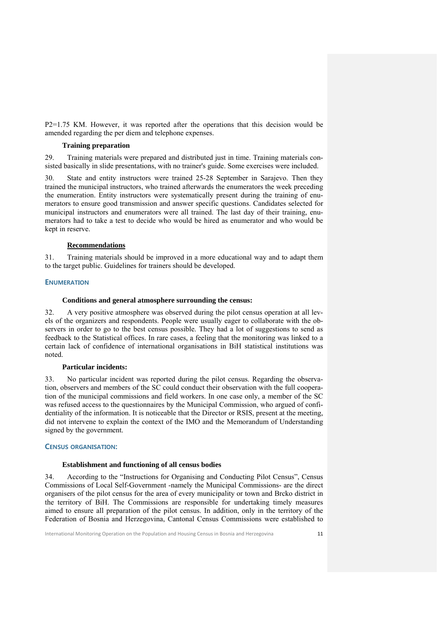P2=1.75 KM. However, it was reported after the operations that this decision would be amended regarding the per diem and telephone expenses.

#### **Training preparation**

29. Training materials were prepared and distributed just in time. Training materials consisted basically in slide presentations, with no trainer's guide. Some exercises were included.

30. State and entity instructors were trained 25-28 September in Sarajevo. Then they trained the municipal instructors, who trained afterwards the enumerators the week preceding the enumeration. Entity instructors were systematically present during the training of enumerators to ensure good transmission and answer specific questions. Candidates selected for municipal instructors and enumerators were all trained. The last day of their training, enumerators had to take a test to decide who would be hired as enumerator and who would be kept in reserve.

## **Recommendations**

31. Training materials should be improved in a more educational way and to adapt them to the target public. Guidelines for trainers should be developed.

## **ENUMERATION**

#### **Conditions and general atmosphere surrounding the census:**

32. A very positive atmosphere was observed during the pilot census operation at all levels of the organizers and respondents. People were usually eager to collaborate with the observers in order to go to the best census possible. They had a lot of suggestions to send as feedback to the Statistical offices. In rare cases, a feeling that the monitoring was linked to a certain lack of confidence of international organisations in BiH statistical institutions was noted.

#### **Particular incidents:**

33. No particular incident was reported during the pilot census. Regarding the observation, observers and members of the SC could conduct their observation with the full cooperation of the municipal commissions and field workers. In one case only, a member of the SC was refused access to the questionnaires by the Municipal Commission, who argued of confidentiality of the information. It is noticeable that the Director or RSIS, present at the meeting, did not intervene to explain the context of the IMO and the Memorandum of Understanding signed by the government.

#### **CENSUS ORGANISATION:**

## **Establishment and functioning of all census bodies**

34. According to the "Instructions for Organising and Conducting Pilot Census", Census Commissions of Local Self-Government -namely the Municipal Commissions- are the direct organisers of the pilot census for the area of every municipality or town and Brcko district in the territory of BiH. The Commissions are responsible for undertaking timely measures aimed to ensure all preparation of the pilot census. In addition, only in the territory of the Federation of Bosnia and Herzegovina, Cantonal Census Commissions were established to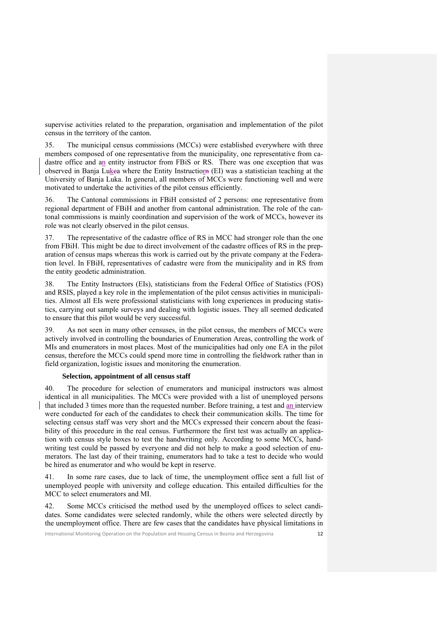supervise activities related to the preparation, organisation and implementation of the pilot census in the territory of the canton.

35. The municipal census commissions (MCCs) were established everywhere with three members composed of one representative from the municipality, one representative from cadastre office and an entity instructor from FBiS or RS. There was one exception that was observed in Banja Lukca where the Entity Instructiorn (EI) was a statistician teaching at the University of Banja Luka. In general, all members of MCCs were functioning well and were motivated to undertake the activities of the pilot census efficiently.

36. The Cantonal commissions in FBiH consisted of 2 persons: one representative from regional department of FBiH and another from cantonal administration. The role of the cantonal commissions is mainly coordination and supervision of the work of MCCs, however its role was not clearly observed in the pilot census.

37. The representative of the cadastre office of RS in MCC had stronger role than the one from FBiH. This might be due to direct involvement of the cadastre offices of RS in the preparation of census maps whereas this work is carried out by the private company at the Federation level. In FBiH, representatives of cadastre were from the municipality and in RS from the entity geodetic administration.

38. The Entity Instructors (EIs), statisticians from the Federal Office of Statistics (FOS) and RSIS, played a key role in the implementation of the pilot census activities in municipalities. Almost all EIs were professional statisticians with long experiences in producing statistics, carrying out sample surveys and dealing with logistic issues. They all seemed dedicated to ensure that this pilot would be very successful.

39. As not seen in many other censuses, in the pilot census, the members of MCCs were actively involved in controlling the boundaries of Enumeration Areas, controlling the work of MIs and enumerators in most places. Most of the municipalities had only one EA in the pilot census, therefore the MCCs could spend more time in controlling the fieldwork rather than in field organization, logistic issues and monitoring the enumeration.

#### **Selection, appointment of all census staff**

40. The procedure for selection of enumerators and municipal instructors was almost identical in all municipalities. The MCCs were provided with a list of unemployed persons that included 3 times more than the requested number. Before training, a test and an interview were conducted for each of the candidates to check their communication skills. The time for selecting census staff was very short and the MCCs expressed their concern about the feasibility of this procedure in the real census. Furthermore the first test was actually an application with census style boxes to test the handwriting only. According to some MCCs, handwriting test could be passed by everyone and did not help to make a good selection of enumerators. The last day of their training, enumerators had to take a test to decide who would be hired as enumerator and who would be kept in reserve.

41. In some rare cases, due to lack of time, the unemployment office sent a full list of unemployed people with university and college education. This entailed difficulties for the MCC to select enumerators and MI.

42. Some MCCs criticised the method used by the unemployed offices to select candidates. Some candidates were selected randomly, while the others were selected directly by the unemployment office. There are few cases that the candidates have physical limitations in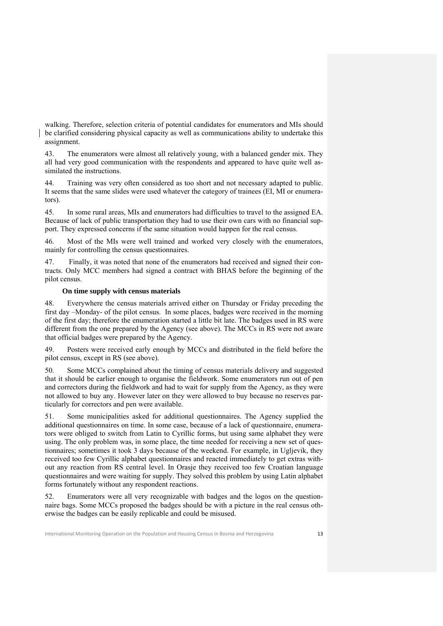walking. Therefore, selection criteria of potential candidates for enumerators and MIs should be clarified considering physical capacity as well as communications ability to undertake this assignment.

43. The enumerators were almost all relatively young, with a balanced gender mix. They all had very good communication with the respondents and appeared to have quite well assimilated the instructions.

Training was very often considered as too short and not necessary adapted to public. It seems that the same slides were used whatever the category of trainees (EI, MI or enumerators).

45. In some rural areas, MIs and enumerators had difficulties to travel to the assigned EA. Because of lack of public transportation they had to use their own cars with no financial support. They expressed concerns if the same situation would happen for the real census.

46. Most of the MIs were well trained and worked very closely with the enumerators, mainly for controlling the census questionnaires.

47. Finally, it was noted that none of the enumerators had received and signed their contracts. Only MCC members had signed a contract with BHAS before the beginning of the pilot census.

#### **On time supply with census materials**

48. Everywhere the census materials arrived either on Thursday or Friday preceding the first day –Monday- of the pilot census. In some places, badges were received in the morning of the first day; therefore the enumeration started a little bit late. The badges used in RS were different from the one prepared by the Agency (see above). The MCCs in RS were not aware that official badges were prepared by the Agency.

49. Posters were received early enough by MCCs and distributed in the field before the pilot census, except in RS (see above).

50. Some MCCs complained about the timing of census materials delivery and suggested that it should be earlier enough to organise the fieldwork. Some enumerators run out of pen and correctors during the fieldwork and had to wait for supply from the Agency, as they were not allowed to buy any. However later on they were allowed to buy because no reserves particularly for correctors and pen were available.

51. Some municipalities asked for additional questionnaires. The Agency supplied the additional questionnaires on time. In some case, because of a lack of questionnaire, enumerators were obliged to switch from Latin to Cyrillic forms, but using same alphabet they were using. The only problem was, in some place, the time needed for receiving a new set of questionnaires; sometimes it took 3 days because of the weekend. For example, in Ugljevik, they received too few Cyrillic alphabet questionnaires and reacted immediately to get extras without any reaction from RS central level. In Orasje they received too few Croatian language questionnaires and were waiting for supply. They solved this problem by using Latin alphabet forms fortunately without any respondent reactions.

52. Enumerators were all very recognizable with badges and the logos on the questionnaire bags. Some MCCs proposed the badges should be with a picture in the real census otherwise the badges can be easily replicable and could be misused.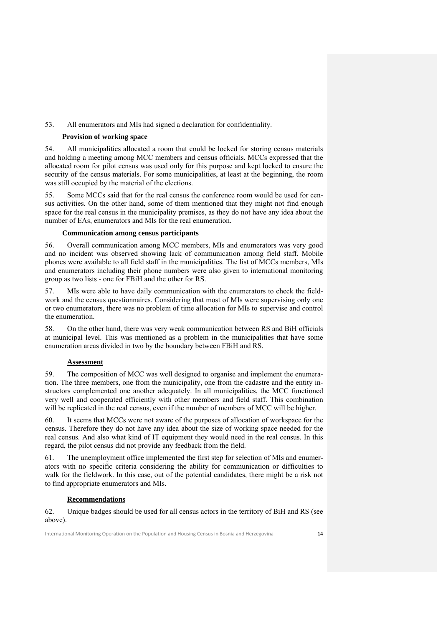## 53. All enumerators and MIs had signed a declaration for confidentiality.

## **Provision of working space**

54. All municipalities allocated a room that could be locked for storing census materials and holding a meeting among MCC members and census officials. MCCs expressed that the allocated room for pilot census was used only for this purpose and kept locked to ensure the security of the census materials. For some municipalities, at least at the beginning, the room was still occupied by the material of the elections.

55. Some MCCs said that for the real census the conference room would be used for census activities. On the other hand, some of them mentioned that they might not find enough space for the real census in the municipality premises, as they do not have any idea about the number of EAs, enumerators and MIs for the real enumeration.

## **Communication among census participants**

56. Overall communication among MCC members, MIs and enumerators was very good and no incident was observed showing lack of communication among field staff. Mobile phones were available to all field staff in the municipalities. The list of MCCs members, MIs and enumerators including their phone numbers were also given to international monitoring group as two lists - one for FBiH and the other for RS.

57. MIs were able to have daily communication with the enumerators to check the fieldwork and the census questionnaires. Considering that most of MIs were supervising only one or two enumerators, there was no problem of time allocation for MIs to supervise and control the enumeration.

58. On the other hand, there was very weak communication between RS and BiH officials at municipal level. This was mentioned as a problem in the municipalities that have some enumeration areas divided in two by the boundary between FBiH and RS.

## **Assessment**

59. The composition of MCC was well designed to organise and implement the enumeration. The three members, one from the municipality, one from the cadastre and the entity instructors complemented one another adequately. In all municipalities, the MCC functioned very well and cooperated efficiently with other members and field staff. This combination will be replicated in the real census, even if the number of members of MCC will be higher.

60. It seems that MCCs were not aware of the purposes of allocation of workspace for the census. Therefore they do not have any idea about the size of working space needed for the real census. And also what kind of IT equipment they would need in the real census. In this regard, the pilot census did not provide any feedback from the field.

61. The unemployment office implemented the first step for selection of MIs and enumerators with no specific criteria considering the ability for communication or difficulties to walk for the fieldwork. In this case, out of the potential candidates, there might be a risk not to find appropriate enumerators and MIs.

## **Recommendations**

62. Unique badges should be used for all census actors in the territory of BiH and RS (see above).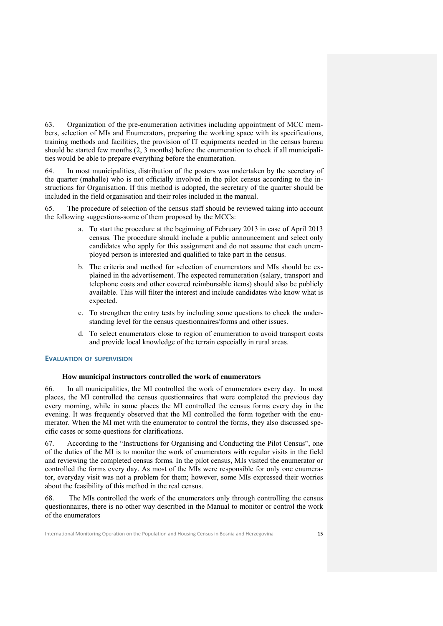63. Organization of the pre-enumeration activities including appointment of MCC members, selection of MIs and Enumerators, preparing the working space with its specifications, training methods and facilities, the provision of IT equipments needed in the census bureau should be started few months (2, 3 months) before the enumeration to check if all municipalities would be able to prepare everything before the enumeration.

64. In most municipalities, distribution of the posters was undertaken by the secretary of the quarter (mahalle) who is not officially involved in the pilot census according to the instructions for Organisation. If this method is adopted, the secretary of the quarter should be included in the field organisation and their roles included in the manual.

65. The procedure of selection of the census staff should be reviewed taking into account the following suggestions-some of them proposed by the MCCs:

- a. To start the procedure at the beginning of February 2013 in case of April 2013 census. The procedure should include a public announcement and select only candidates who apply for this assignment and do not assume that each unemployed person is interested and qualified to take part in the census.
- b. The criteria and method for selection of enumerators and MIs should be explained in the advertisement. The expected remuneration (salary, transport and telephone costs and other covered reimbursable items) should also be publicly available. This will filter the interest and include candidates who know what is expected.
- c. To strengthen the entry tests by including some questions to check the understanding level for the census questionnaires/forms and other issues.
- d. To select enumerators close to region of enumeration to avoid transport costs and provide local knowledge of the terrain especially in rural areas.

#### **EVALUATION OF SUPERVISION**

#### **How municipal instructors controlled the work of enumerators**

66. In all municipalities, the MI controlled the work of enumerators every day. In most places, the MI controlled the census questionnaires that were completed the previous day every morning, while in some places the MI controlled the census forms every day in the evening. It was frequently observed that the MI controlled the form together with the enumerator. When the MI met with the enumerator to control the forms, they also discussed specific cases or some questions for clarifications.

67. According to the "Instructions for Organising and Conducting the Pilot Census", one of the duties of the MI is to monitor the work of enumerators with regular visits in the field and reviewing the completed census forms. In the pilot census, MIs visited the enumerator or controlled the forms every day. As most of the MIs were responsible for only one enumerator, everyday visit was not a problem for them; however, some MIs expressed their worries about the feasibility of this method in the real census.

The MIs controlled the work of the enumerators only through controlling the census questionnaires, there is no other way described in the Manual to monitor or control the work of the enumerators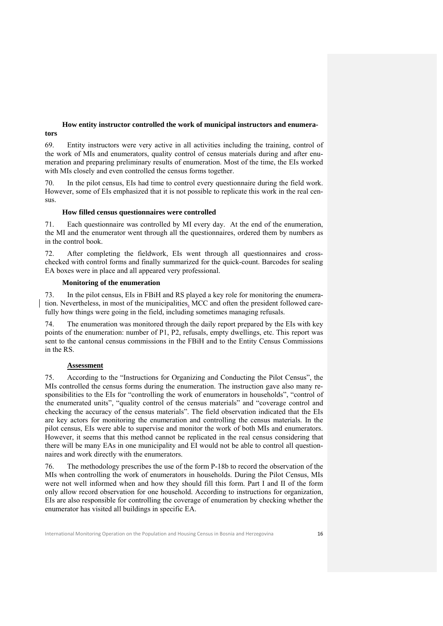## **How entity instructor controlled the work of municipal instructors and enumerators**

69. Entity instructors were very active in all activities including the training, control of the work of MIs and enumerators, quality control of census materials during and after enumeration and preparing preliminary results of enumeration. Most of the time, the EIs worked with MIs closely and even controlled the census forms together.

In the pilot census, EIs had time to control every questionnaire during the field work. However, some of EIs emphasized that it is not possible to replicate this work in the real census.

## **How filled census questionnaires were controlled**

71. Each questionnaire was controlled by MI every day. At the end of the enumeration, the MI and the enumerator went through all the questionnaires, ordered them by numbers as in the control book.

72. After completing the fieldwork, EIs went through all questionnaires and crosschecked with control forms and finally summarized for the quick-count. Barcodes for sealing EA boxes were in place and all appeared very professional.

## **Monitoring of the enumeration**

73. In the pilot census, EIs in FBiH and RS played a key role for monitoring the enumeration. Nevertheless, in most of the municipalities, MCC and often the president followed carefully how things were going in the field, including sometimes managing refusals.

74. The enumeration was monitored through the daily report prepared by the EIs with key points of the enumeration: number of P1, P2, refusals, empty dwellings, etc. This report was sent to the cantonal census commissions in the FBiH and to the Entity Census Commissions in the RS.

## **Assessment**

75. According to the "Instructions for Organizing and Conducting the Pilot Census", the MIs controlled the census forms during the enumeration. The instruction gave also many responsibilities to the EIs for "controlling the work of enumerators in households", "control of the enumerated units", "quality control of the census materials" and "coverage control and checking the accuracy of the census materials". The field observation indicated that the EIs are key actors for monitoring the enumeration and controlling the census materials. In the pilot census, EIs were able to supervise and monitor the work of both MIs and enumerators. However, it seems that this method cannot be replicated in the real census considering that there will be many EAs in one municipality and EI would not be able to control all questionnaires and work directly with the enumerators.

76. The methodology prescribes the use of the form P-18b to record the observation of the MIs when controlling the work of enumerators in households. During the Pilot Census, MIs were not well informed when and how they should fill this form. Part I and II of the form only allow record observation for one household. According to instructions for organization, EIs are also responsible for controlling the coverage of enumeration by checking whether the enumerator has visited all buildings in specific EA.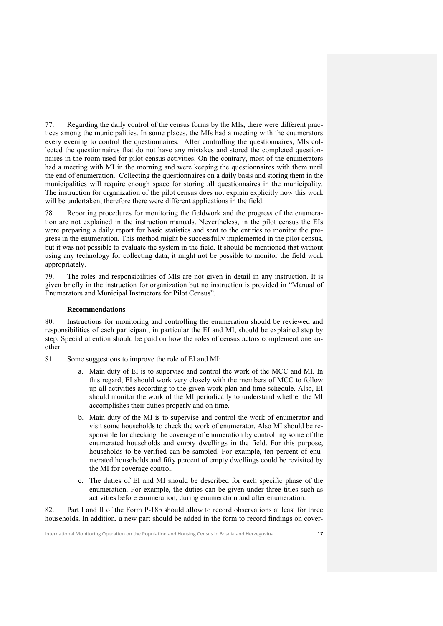77. Regarding the daily control of the census forms by the MIs, there were different practices among the municipalities. In some places, the MIs had a meeting with the enumerators every evening to control the questionnaires. After controlling the questionnaires, MIs collected the questionnaires that do not have any mistakes and stored the completed questionnaires in the room used for pilot census activities. On the contrary, most of the enumerators had a meeting with MI in the morning and were keeping the questionnaires with them until the end of enumeration. Collecting the questionnaires on a daily basis and storing them in the municipalities will require enough space for storing all questionnaires in the municipality. The instruction for organization of the pilot census does not explain explicitly how this work will be undertaken; therefore there were different applications in the field.

78. Reporting procedures for monitoring the fieldwork and the progress of the enumeration are not explained in the instruction manuals. Nevertheless, in the pilot census the EIs were preparing a daily report for basic statistics and sent to the entities to monitor the progress in the enumeration. This method might be successfully implemented in the pilot census, but it was not possible to evaluate the system in the field. It should be mentioned that without using any technology for collecting data, it might not be possible to monitor the field work appropriately.

79. The roles and responsibilities of MIs are not given in detail in any instruction. It is given briefly in the instruction for organization but no instruction is provided in "Manual of Enumerators and Municipal Instructors for Pilot Census".

## **Recommendations**

80. Instructions for monitoring and controlling the enumeration should be reviewed and responsibilities of each participant, in particular the EI and MI, should be explained step by step. Special attention should be paid on how the roles of census actors complement one another.

81. Some suggestions to improve the role of EI and MI:

- a. Main duty of EI is to supervise and control the work of the MCC and MI. In this regard, EI should work very closely with the members of MCC to follow up all activities according to the given work plan and time schedule. Also, EI should monitor the work of the MI periodically to understand whether the MI accomplishes their duties properly and on time.
- b. Main duty of the MI is to supervise and control the work of enumerator and visit some households to check the work of enumerator. Also MI should be responsible for checking the coverage of enumeration by controlling some of the enumerated households and empty dwellings in the field. For this purpose, households to be verified can be sampled. For example, ten percent of enumerated households and fifty percent of empty dwellings could be revisited by the MI for coverage control.
- c. The duties of EI and MI should be described for each specific phase of the enumeration. For example, the duties can be given under three titles such as activities before enumeration, during enumeration and after enumeration.

82. Part I and II of the Form P-18b should allow to record observations at least for three households. In addition, a new part should be added in the form to record findings on cover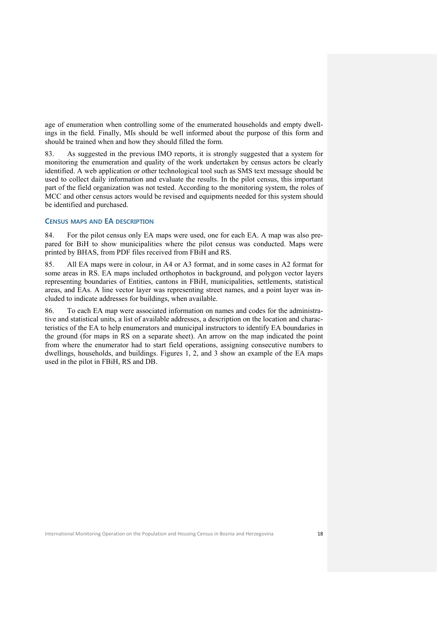age of enumeration when controlling some of the enumerated households and empty dwellings in the field. Finally, MIs should be well informed about the purpose of this form and should be trained when and how they should filled the form.

83. As suggested in the previous IMO reports, it is strongly suggested that a system for monitoring the enumeration and quality of the work undertaken by census actors be clearly identified. A web application or other technological tool such as SMS text message should be used to collect daily information and evaluate the results. In the pilot census, this important part of the field organization was not tested. According to the monitoring system, the roles of MCC and other census actors would be revised and equipments needed for this system should be identified and purchased.

#### **CENSUS MAPS AND EA DESCRIPTION**

84. For the pilot census only EA maps were used, one for each EA. A map was also prepared for BiH to show municipalities where the pilot census was conducted. Maps were printed by BHAS, from PDF files received from FBiH and RS.

85. All EA maps were in colour, in A4 or A3 format, and in some cases in A2 format for some areas in RS. EA maps included orthophotos in background, and polygon vector layers representing boundaries of Entities, cantons in FBiH, municipalities, settlements, statistical areas, and EAs. A line vector layer was representing street names, and a point layer was included to indicate addresses for buildings, when available.

86. To each EA map were associated information on names and codes for the administrative and statistical units, a list of available addresses, a description on the location and characteristics of the EA to help enumerators and municipal instructors to identify EA boundaries in the ground (for maps in RS on a separate sheet). An arrow on the map indicated the point from where the enumerator had to start field operations, assigning consecutive numbers to dwellings, households, and buildings. Figures 1, 2, and 3 show an example of the EA maps used in the pilot in FBiH, RS and DB.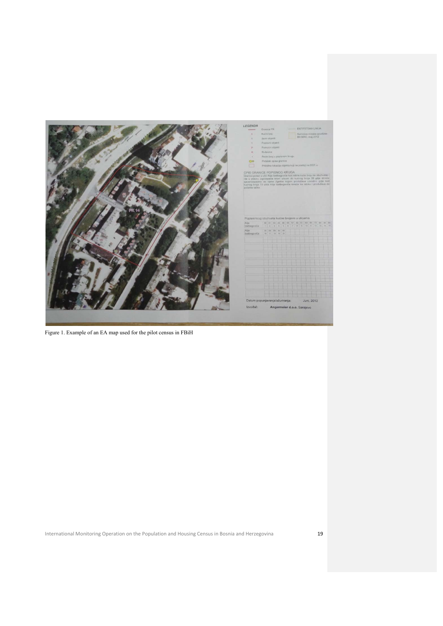

Figure 1. Example of an EA map used for the pilot census in FBiH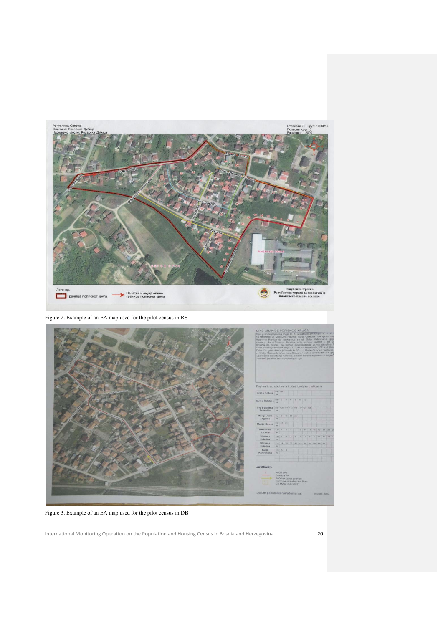

Figure 2. Example of an EA map used for the pilot census in RS



Figure 3. Example of an EA map used for the pilot census in DB

International Monitoring Operation on the Population and Housing Census in Bosnia and Herzegovina 20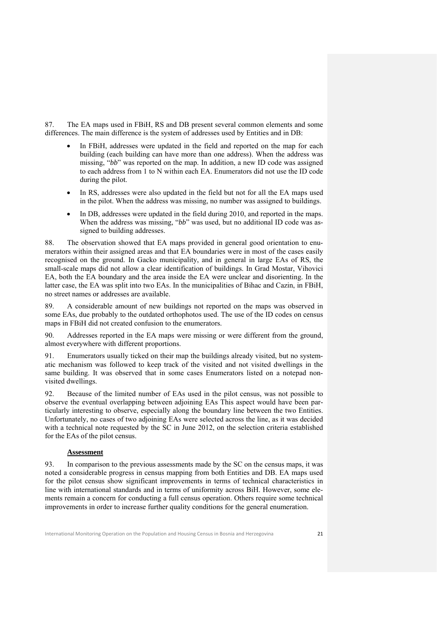87. The EA maps used in FBiH, RS and DB present several common elements and some differences. The main difference is the system of addresses used by Entities and in DB:

- In FBiH, addresses were updated in the field and reported on the map for each building (each building can have more than one address). When the address was missing, "*bb*" was reported on the map. In addition, a new ID code was assigned to each address from 1 to N within each EA. Enumerators did not use the ID code during the pilot.
- In RS, addresses were also updated in the field but not for all the EA maps used in the pilot. When the address was missing, no number was assigned to buildings.
- In DB, addresses were updated in the field during 2010, and reported in the maps. When the address was missing, "*bb*" was used, but no additional ID code was assigned to building addresses.

88. The observation showed that EA maps provided in general good orientation to enumerators within their assigned areas and that EA boundaries were in most of the cases easily recognised on the ground. In Gacko municipality, and in general in large EAs of RS, the small-scale maps did not allow a clear identification of buildings. In Grad Mostar, Vihovici EA, both the EA boundary and the area inside the EA were unclear and disorienting. In the latter case, the EA was split into two EAs. In the municipalities of Bihac and Cazin, in FBiH, no street names or addresses are available.

89. A considerable amount of new buildings not reported on the maps was observed in some EAs, due probably to the outdated orthophotos used. The use of the ID codes on census maps in FBiH did not created confusion to the enumerators.

90. Addresses reported in the EA maps were missing or were different from the ground, almost everywhere with different proportions.

91. Enumerators usually ticked on their map the buildings already visited, but no systematic mechanism was followed to keep track of the visited and not visited dwellings in the same building. It was observed that in some cases Enumerators listed on a notepad nonvisited dwellings.

92. Because of the limited number of EAs used in the pilot census, was not possible to observe the eventual overlapping between adjoining EAs This aspect would have been particularly interesting to observe, especially along the boundary line between the two Entities. Unfortunately, no cases of two adjoining EAs were selected across the line, as it was decided with a technical note requested by the SC in June 2012, on the selection criteria established for the EAs of the pilot census.

## **Assessment**

93. In comparison to the previous assessments made by the SC on the census maps, it was noted a considerable progress in census mapping from both Entities and DB. EA maps used for the pilot census show significant improvements in terms of technical characteristics in line with international standards and in terms of uniformity across BiH. However, some elements remain a concern for conducting a full census operation. Others require some technical improvements in order to increase further quality conditions for the general enumeration.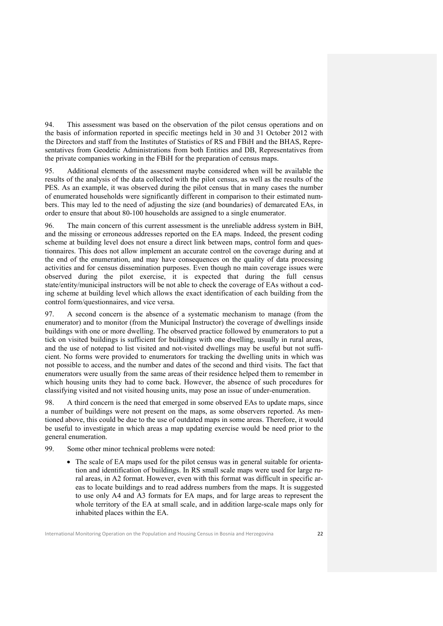94. This assessment was based on the observation of the pilot census operations and on the basis of information reported in specific meetings held in 30 and 31 October 2012 with the Directors and staff from the Institutes of Statistics of RS and FBiH and the BHAS, Representatives from Geodetic Administrations from both Entities and DB, Representatives from the private companies working in the FBiH for the preparation of census maps.

95. Additional elements of the assessment maybe considered when will be available the results of the analysis of the data collected with the pilot census, as well as the results of the PES. As an example, it was observed during the pilot census that in many cases the number of enumerated households were significantly different in comparison to their estimated numbers. This may led to the need of adjusting the size (and boundaries) of demarcated EAs, in order to ensure that about 80-100 households are assigned to a single enumerator.

96. The main concern of this current assessment is the unreliable address system in BiH, and the missing or erroneous addresses reported on the EA maps. Indeed, the present coding scheme at building level does not ensure a direct link between maps, control form and questionnaires. This does not allow implement an accurate control on the coverage during and at the end of the enumeration, and may have consequences on the quality of data processing activities and for census dissemination purposes. Even though no main coverage issues were observed during the pilot exercise, it is expected that during the full census state/entity/municipal instructors will be not able to check the coverage of EAs without a coding scheme at building level which allows the exact identification of each building from the control form/questionnaires, and vice versa.

97. A second concern is the absence of a systematic mechanism to manage (from the enumerator) and to monitor (from the Municipal Instructor) the coverage of dwellings inside buildings with one or more dwelling. The observed practice followed by enumerators to put a tick on visited buildings is sufficient for buildings with one dwelling, usually in rural areas, and the use of notepad to list visited and not-visited dwellings may be useful but not sufficient. No forms were provided to enumerators for tracking the dwelling units in which was not possible to access, and the number and dates of the second and third visits. The fact that enumerators were usually from the same areas of their residence helped them to remember in which housing units they had to come back. However, the absence of such procedures for classifying visited and not visited housing units, may pose an issue of under-enumeration.

98. A third concern is the need that emerged in some observed EAs to update maps, since a number of buildings were not present on the maps, as some observers reported. As mentioned above, this could be due to the use of outdated maps in some areas. Therefore, it would be useful to investigate in which areas a map updating exercise would be need prior to the general enumeration.

99. Some other minor technical problems were noted:

 The scale of EA maps used for the pilot census was in general suitable for orientation and identification of buildings. In RS small scale maps were used for large rural areas, in A2 format. However, even with this format was difficult in specific areas to locate buildings and to read address numbers from the maps. It is suggested to use only A4 and A3 formats for EA maps, and for large areas to represent the whole territory of the EA at small scale, and in addition large-scale maps only for inhabited places within the EA.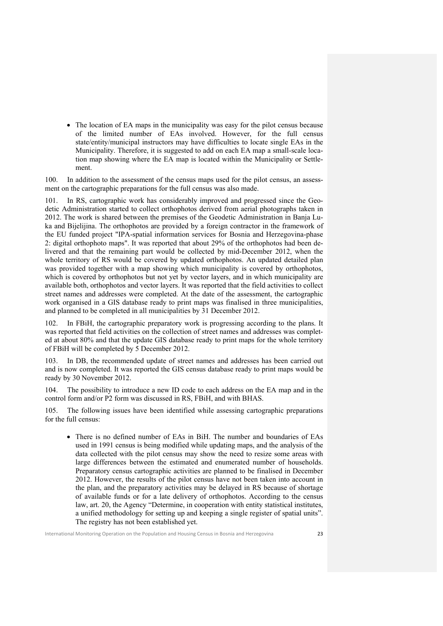• The location of EA maps in the municipality was easy for the pilot census because of the limited number of EAs involved. However, for the full census state/entity/municipal instructors may have difficulties to locate single EAs in the Municipality. Therefore, it is suggested to add on each EA map a small-scale location map showing where the EA map is located within the Municipality or Settlement.

100. In addition to the assessment of the census maps used for the pilot census, an assessment on the cartographic preparations for the full census was also made.

101. In RS, cartographic work has considerably improved and progressed since the Geodetic Administration started to collect orthophotos derived from aerial photographs taken in 2012. The work is shared between the premises of the Geodetic Administration in Banja Luka and Bijelijina. The orthophotos are provided by a foreign contractor in the framework of the EU funded project "IPA-spatial information services for Bosnia and Herzegovina-phase 2: digital orthophoto maps". It was reported that about 29% of the orthophotos had been delivered and that the remaining part would be collected by mid-December 2012, when the whole territory of RS would be covered by updated orthophotos. An updated detailed plan was provided together with a map showing which municipality is covered by orthophotos, which is covered by orthophotos but not yet by vector layers, and in which municipality are available both, orthophotos and vector layers. It was reported that the field activities to collect street names and addresses were completed. At the date of the assessment, the cartographic work organised in a GIS database ready to print maps was finalised in three municipalities, and planned to be completed in all municipalities by 31 December 2012.

102. In FBiH, the cartographic preparatory work is progressing according to the plans. It was reported that field activities on the collection of street names and addresses was completed at about 80% and that the update GIS database ready to print maps for the whole territory of FBiH will be completed by 5 December 2012.

In DB, the recommended update of street names and addresses has been carried out and is now completed. It was reported the GIS census database ready to print maps would be ready by 30 November 2012.

104. The possibility to introduce a new ID code to each address on the EA map and in the control form and/or P2 form was discussed in RS, FBiH, and with BHAS.

105. The following issues have been identified while assessing cartographic preparations for the full census:

 There is no defined number of EAs in BiH. The number and boundaries of EAs used in 1991 census is being modified while updating maps, and the analysis of the data collected with the pilot census may show the need to resize some areas with large differences between the estimated and enumerated number of households. Preparatory census cartographic activities are planned to be finalised in December 2012. However, the results of the pilot census have not been taken into account in the plan, and the preparatory activities may be delayed in RS because of shortage of available funds or for a late delivery of orthophotos. According to the census law, art. 20, the Agency "Determine, in cooperation with entity statistical institutes, a unified methodology for setting up and keeping a single register of spatial units". The registry has not been established yet.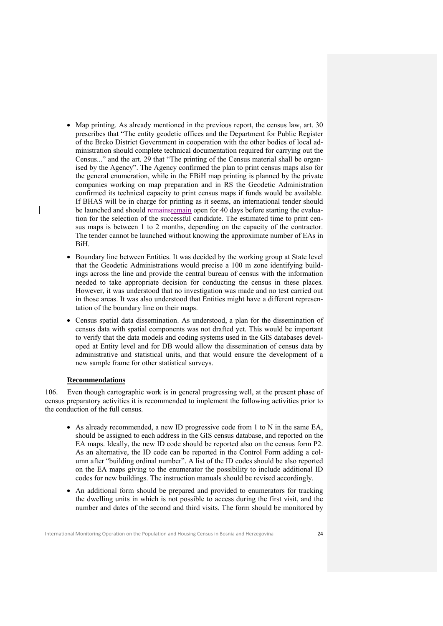- Map printing. As already mentioned in the previous report, the census law, art. 30 prescribes that "The entity geodetic offices and the Department for Public Register of the Brcko District Government in cooperation with the other bodies of local administration should complete technical documentation required for carrying out the Census..." and the art. 29 that "The printing of the Census material shall be organised by the Agency". The Agency confirmed the plan to print census maps also for the general enumeration, while in the FBiH map printing is planned by the private companies working on map preparation and in RS the Geodetic Administration confirmed its technical capacity to print census maps if funds would be available. If BHAS will be in charge for printing as it seems, an international tender should be launched and should remainsremain open for 40 days before starting the evaluation for the selection of the successful candidate. The estimated time to print census maps is between 1 to 2 months, depending on the capacity of the contractor. The tender cannot be launched without knowing the approximate number of EAs in BiH.
- Boundary line between Entities. It was decided by the working group at State level that the Geodetic Administrations would precise a 100 m zone identifying buildings across the line and provide the central bureau of census with the information needed to take appropriate decision for conducting the census in these places. However, it was understood that no investigation was made and no test carried out in those areas. It was also understood that Entities might have a different representation of the boundary line on their maps.
- Census spatial data dissemination. As understood, a plan for the dissemination of census data with spatial components was not drafted yet. This would be important to verify that the data models and coding systems used in the GIS databases developed at Entity level and for DB would allow the dissemination of census data by administrative and statistical units, and that would ensure the development of a new sample frame for other statistical surveys.

## **Recommendations**

106. Even though cartographic work is in general progressing well, at the present phase of census preparatory activities it is recommended to implement the following activities prior to the conduction of the full census.

- As already recommended, a new ID progressive code from 1 to N in the same EA, should be assigned to each address in the GIS census database, and reported on the EA maps. Ideally, the new ID code should be reported also on the census form P2. As an alternative, the ID code can be reported in the Control Form adding a column after "building ordinal number". A list of the ID codes should be also reported on the EA maps giving to the enumerator the possibility to include additional ID codes for new buildings. The instruction manuals should be revised accordingly.
- An additional form should be prepared and provided to enumerators for tracking the dwelling units in which is not possible to access during the first visit, and the number and dates of the second and third visits. The form should be monitored by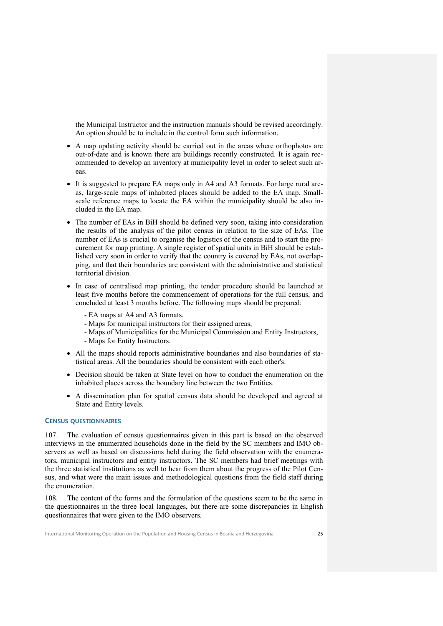the Municipal Instructor and the instruction manuals should be revised accordingly. An option should be to include in the control form such information.

- A map updating activity should be carried out in the areas where orthophotos are out-of-date and is known there are buildings recently constructed. It is again recommended to develop an inventory at municipality level in order to select such areas.
- It is suggested to prepare EA maps only in A4 and A3 formats. For large rural areas, large-scale maps of inhabited places should be added to the EA map. Smallscale reference maps to locate the EA within the municipality should be also included in the EA map.
- The number of EAs in BiH should be defined very soon, taking into consideration the results of the analysis of the pilot census in relation to the size of EAs. The number of EAs is crucial to organise the logistics of the census and to start the procurement for map printing. A single register of spatial units in BiH should be established very soon in order to verify that the country is covered by EAs, not overlapping, and that their boundaries are consistent with the administrative and statistical territorial division.
- In case of centralised map printing, the tender procedure should be launched at least five months before the commencement of operations for the full census, and concluded at least 3 months before. The following maps should be prepared:
	- EA maps at A4 and A3 formats,
	- Maps for municipal instructors for their assigned areas,
	- Maps of Municipalities for the Municipal Commission and Entity Instructors,
	- Maps for Entity Instructors.
- All the maps should reports administrative boundaries and also boundaries of statistical areas. All the boundaries should be consistent with each other's.
- Decision should be taken at State level on how to conduct the enumeration on the inhabited places across the boundary line between the two Entities.
- A dissemination plan for spatial census data should be developed and agreed at State and Entity levels.

#### **CENSUS QUESTIONNAIRES**

107. The evaluation of census questionnaires given in this part is based on the observed interviews in the enumerated households done in the field by the SC members and IMO observers as well as based on discussions held during the field observation with the enumerators, municipal instructors and entity instructors. The SC members had brief meetings with the three statistical institutions as well to hear from them about the progress of the Pilot Census, and what were the main issues and methodological questions from the field staff during the enumeration.

108. The content of the forms and the formulation of the questions seem to be the same in the questionnaires in the three local languages, but there are some discrepancies in English questionnaires that were given to the IMO observers.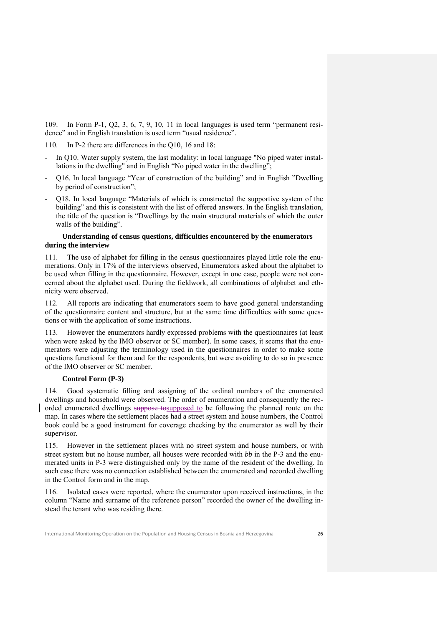109. In Form P-1, Q2, 3, 6, 7, 9, 10, 11 in local languages is used term "permanent residence" and in English translation is used term "usual residence".

110. In P-2 there are differences in the Q10, 16 and 18:

- In Q10. Water supply system, the last modality: in local language "No piped water installations in the dwelling" and in English "No piped water in the dwelling";
- Q16. In local language "Year of construction of the building" and in English "Dwelling by period of construction";
- Q18. In local language "Materials of which is constructed the supportive system of the building" and this is consistent with the list of offered answers. In the English translation, the title of the question is "Dwellings by the main structural materials of which the outer walls of the building".

## **Understanding of census questions, difficulties encountered by the enumerators during the interview**

111. The use of alphabet for filling in the census questionnaires played little role the enumerations. Only in 17% of the interviews observed, Enumerators asked about the alphabet to be used when filling in the questionnaire. However, except in one case, people were not concerned about the alphabet used. During the fieldwork, all combinations of alphabet and ethnicity were observed.

112. All reports are indicating that enumerators seem to have good general understanding of the questionnaire content and structure, but at the same time difficulties with some questions or with the application of some instructions.

113. However the enumerators hardly expressed problems with the questionnaires (at least when were asked by the IMO observer or SC member). In some cases, it seems that the enumerators were adjusting the terminology used in the questionnaires in order to make some questions functional for them and for the respondents, but were avoiding to do so in presence of the IMO observer or SC member.

## **Control Form (P-3)**

114. Good systematic filling and assigning of the ordinal numbers of the enumerated dwellings and household were observed. The order of enumeration and consequently the recorded enumerated dwellings suppose to supposed to be following the planned route on the map. In cases where the settlement places had a street system and house numbers, the Control book could be a good instrument for coverage checking by the enumerator as well by their supervisor.

115. However in the settlement places with no street system and house numbers, or with street system but no house number, all houses were recorded with *bb* in the P-3 and the enumerated units in P-3 were distinguished only by the name of the resident of the dwelling. In such case there was no connection established between the enumerated and recorded dwelling in the Control form and in the map.

116. Isolated cases were reported, where the enumerator upon received instructions, in the column "Name and surname of the reference person" recorded the owner of the dwelling instead the tenant who was residing there.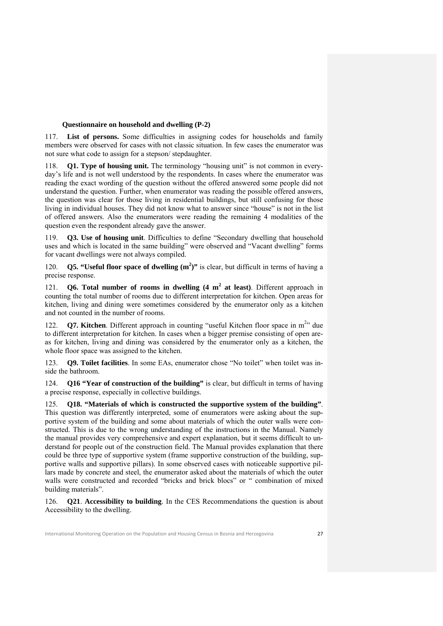#### **Questionnaire on household and dwelling (P-2)**

117. **List of persons.** Some difficulties in assigning codes for households and family members were observed for cases with not classic situation. In few cases the enumerator was not sure what code to assign for a stepson/ stepdaughter.

**Q1. Type of housing unit.** The terminology "housing unit" is not common in everyday's life and is not well understood by the respondents. In cases where the enumerator was reading the exact wording of the question without the offered answered some people did not understand the question. Further, when enumerator was reading the possible offered answers, the question was clear for those living in residential buildings, but still confusing for those living in individual houses. They did not know what to answer since "house" is not in the list of offered answers. Also the enumerators were reading the remaining 4 modalities of the question even the respondent already gave the answer.

119. **Q3. Use of housing unit**. Difficulties to define "Secondary dwelling that household uses and which is located in the same building" were observed and "Vacant dwelling" forms for vacant dwellings were not always compiled.

120. **Q5. "Useful floor space of dwelling (m<sup>2</sup> )"** is clear, but difficult in terms of having a precise response.

121. **Q6. Total number of rooms in dwelling (4 m<sup>2</sup> at least). Different approach in** counting the total number of rooms due to different interpretation for kitchen. Open areas for kitchen, living and dining were sometimes considered by the enumerator only as a kitchen and not counted in the number of rooms.

122. **Q7. Kitchen**. Different approach in counting "useful Kitchen floor space in m<sup>2</sup>" due to different interpretation for kitchen. In cases when a bigger premise consisting of open areas for kitchen, living and dining was considered by the enumerator only as a kitchen, the whole floor space was assigned to the kitchen.

123. **Q9. Toilet facilities**. In some EAs, enumerator chose "No toilet" when toilet was inside the bathroom.

124. **Q16 "Year of construction of the building"** is clear, but difficult in terms of having a precise response, especially in collective buildings.

125. **Q18. "Materials of which is constructed the supportive system of the building"**. This question was differently interpreted, some of enumerators were asking about the supportive system of the building and some about materials of which the outer walls were constructed. This is due to the wrong understanding of the instructions in the Manual. Namely the manual provides very comprehensive and expert explanation, but it seems difficult to understand for people out of the construction field. The Manual provides explanation that there could be three type of supportive system (frame supportive construction of the building, supportive walls and supportive pillars). In some observed cases with noticeable supportive pillars made by concrete and steel, the enumerator asked about the materials of which the outer walls were constructed and recorded "bricks and brick blocs" or " combination of mixed building materials".

126. **Q21**. **Accessibility to building**. In the CES Recommendations the question is about Accessibility to the dwelling.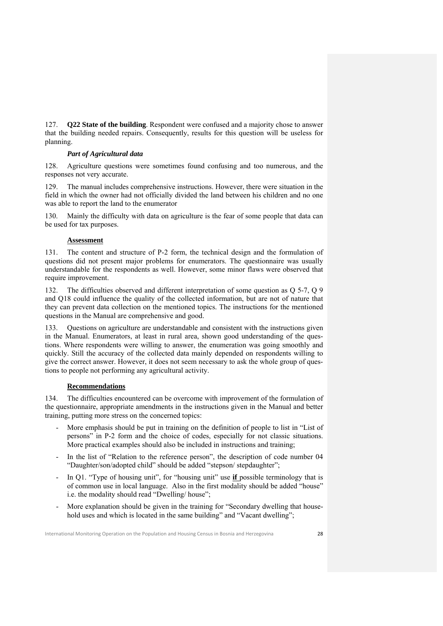127. **Q22 State of the building**. Respondent were confused and a majority chose to answer that the building needed repairs. Consequently, results for this question will be useless for planning.

## *Part of Agricultural data*

128. Agriculture questions were sometimes found confusing and too numerous, and the responses not very accurate.

129. The manual includes comprehensive instructions. However, there were situation in the field in which the owner had not officially divided the land between his children and no one was able to report the land to the enumerator

130. Mainly the difficulty with data on agriculture is the fear of some people that data can be used for tax purposes.

## **Assessment**

131. The content and structure of P-2 form, the technical design and the formulation of questions did not present major problems for enumerators. The questionnaire was usually understandable for the respondents as well. However, some minor flaws were observed that require improvement.

132. The difficulties observed and different interpretation of some question as Q 5-7, Q 9 and Q18 could influence the quality of the collected information, but are not of nature that they can prevent data collection on the mentioned topics. The instructions for the mentioned questions in the Manual are comprehensive and good.

133. Questions on agriculture are understandable and consistent with the instructions given in the Manual. Enumerators, at least in rural area, shown good understanding of the questions. Where respondents were willing to answer, the enumeration was going smoothly and quickly. Still the accuracy of the collected data mainly depended on respondents willing to give the correct answer. However, it does not seem necessary to ask the whole group of questions to people not performing any agricultural activity.

## **Recommendations**

134. The difficulties encountered can be overcome with improvement of the formulation of the questionnaire, appropriate amendments in the instructions given in the Manual and better training, putting more stress on the concerned topics:

- More emphasis should be put in training on the definition of people to list in "List of persons" in P-2 form and the choice of codes, especially for not classic situations. More practical examples should also be included in instructions and training;
- In the list of "Relation to the reference person", the description of code number 04 "Daughter/son/adopted child" should be added "stepson/ stepdaughter";
- In Q1. "Type of housing unit", for "housing unit" use **if** possible terminology that is of common use in local language. Also in the first modality should be added "house" i.e. the modality should read "Dwelling/ house";
- More explanation should be given in the training for "Secondary dwelling that household uses and which is located in the same building" and "Vacant dwelling";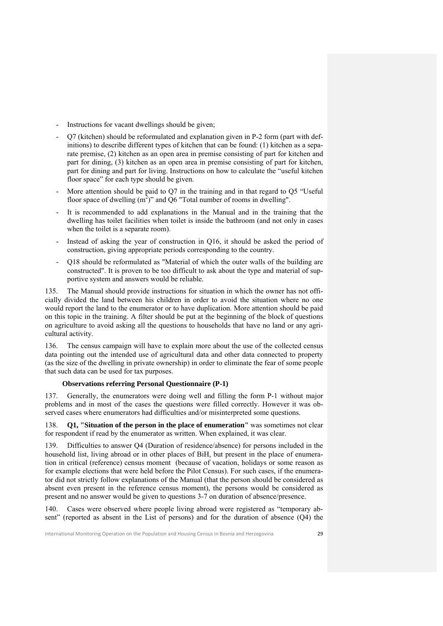- Instructions for vacant dwellings should be given;
- Q7 (kitchen) should be reformulated and explanation given in P-2 form (part with definitions) to describe different types of kitchen that can be found: (1) kitchen as a separate premise, (2) kitchen as an open area in premise consisting of part for kitchen and part for dining, (3) kitchen as an open area in premise consisting of part for kitchen, part for dining and part for living. Instructions on how to calculate the "useful kitchen floor space" for each type should be given.
- More attention should be paid to Q7 in the training and in that regard to Q5 "Useful" floor space of dwelling  $(m^2)$ " and  $Q6$  "Total number of rooms in dwelling".
- It is recommended to add explanations in the Manual and in the training that the dwelling has toilet facilities when toilet is inside the bathroom (and not only in cases when the toilet is a separate room).
- Instead of asking the year of construction in Q16, it should be asked the period of construction, giving appropriate periods corresponding to the country.
- Q18 should be reformulated as "Material of which the outer walls of the building are constructed". It is proven to be too difficult to ask about the type and material of supportive system and answers would be reliable.

135. The Manual should provide instructions for situation in which the owner has not officially divided the land between his children in order to avoid the situation where no one would report the land to the enumerator or to have duplication. More attention should be paid on this topic in the training. A filter should be put at the beginning of the block of questions on agriculture to avoid asking all the questions to households that have no land or any agricultural activity.

136. The census campaign will have to explain more about the use of the collected census data pointing out the intended use of agricultural data and other data connected to property (as the size of the dwelling in private ownership) in order to eliminate the fear of some people that such data can be used for tax purposes.

## **Observations referring Personal Questionnaire (P-1)**

137. Generally, the enumerators were doing well and filling the form P-1 without major problems and in most of the cases the questions were filled correctly. However it was observed cases where enumerators had difficulties and/or misinterpreted some questions.

138. **Q1, "Situation of the person in the place of enumeration"** was sometimes not clear for respondent if read by the enumerator as written. When explained, it was clear.

139. Difficulties to answer Q4 (Duration of residence/absence) for persons included in the household list, living abroad or in other places of BiH, but present in the place of enumeration in critical (reference) census moment (because of vacation, holidays or some reason as for example elections that were held before the Pilot Census). For such cases, if the enumerator did not strictly follow explanations of the Manual (that the person should be considered as absent even present in the reference census moment), the persons would be considered as present and no answer would be given to questions 3-7 on duration of absence/presence.

140. Cases were observed where people living abroad were registered as "temporary absent" (reported as absent in the List of persons) and for the duration of absence (Q4) the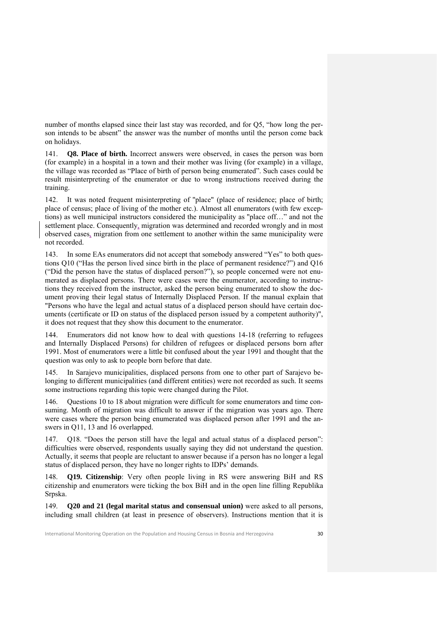number of months elapsed since their last stay was recorded, and for Q5, "how long the person intends to be absent" the answer was the number of months until the person come back on holidays.

141. **Q8. Place of birth.** Incorrect answers were observed, in cases the person was born (for example) in a hospital in a town and their mother was living (for example) in a village, the village was recorded as "Place of birth of person being enumerated". Such cases could be result misinterpreting of the enumerator or due to wrong instructions received during the training.

142. It was noted frequent misinterpreting of ''place" (place of residence; place of birth; place of census; place of living of the mother etc.). Almost all enumerators (with few exceptions) as well municipal instructors considered the municipality as ''place off…" and not the settlement place. Consequently, migration was determined and recorded wrongly and in most observed cases, migration from one settlement to another within the same municipality were not recorded.

143. In some EAs enumerators did not accept that somebody answered "Yes" to both questions Q10 ("Has the person lived since birth in the place of permanent residence?") and Q16 ("Did the person have the status of displaced person?"), so people concerned were not enumerated as displaced persons. There were cases were the enumerator, according to instructions they received from the instructor, asked the person being enumerated to show the document proving their legal status of Internally Displaced Person. If the manual explain that "Persons who have the legal and actual status of a displaced person should have certain documents (certificate or ID on status of the displaced person issued by a competent authority)", it does not request that they show this document to the enumerator.

144. Enumerators did not know how to deal with questions 14-18 (referring to refugees and Internally Displaced Persons) for children of refugees or displaced persons born after 1991. Most of enumerators were a little bit confused about the year 1991 and thought that the question was only to ask to people born before that date.

145. In Sarajevo municipalities, displaced persons from one to other part of Sarajevo belonging to different municipalities (and different entities) were not recorded as such. It seems some instructions regarding this topic were changed during the Pilot.

146. Questions 10 to 18 about migration were difficult for some enumerators and time consuming. Month of migration was difficult to answer if the migration was years ago. There were cases where the person being enumerated was displaced person after 1991 and the answers in Q11, 13 and 16 overlapped.

147. Q18. "Does the person still have the legal and actual status of a displaced person": difficulties were observed, respondents usually saying they did not understand the question. Actually, it seems that people are reluctant to answer because if a person has no longer a legal status of displaced person, they have no longer rights to IDPs' demands.

148. **Q19. Citizenship**: Very often people living in RS were answering BiH and RS citizenship and enumerators were ticking the box BiH and in the open line filling Republika Srpska.

149. **Q20 and 21 (legal marital status and consensual union)** were asked to all persons, including small children (at least in presence of observers). Instructions mention that it is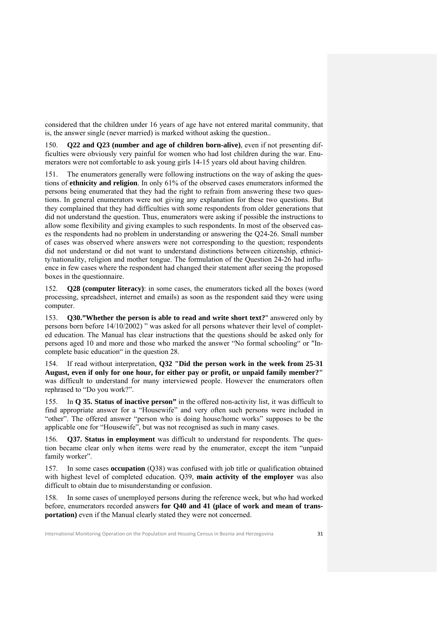considered that the children under 16 years of age have not entered marital community, that is, the answer single (never married) is marked without asking the question..

150. **Q22 and Q23 (number and age of children born-alive)**, even if not presenting difficulties were obviously very painful for women who had lost children during the war. Enumerators were not comfortable to ask young girls 14-15 years old about having children.

151. The enumerators generally were following instructions on the way of asking the questions of **ethnicity and religion**. In only 61% of the observed cases enumerators informed the persons being enumerated that they had the right to refrain from answering these two questions. In general enumerators were not giving any explanation for these two questions. But they complained that they had difficulties with some respondents from older generations that did not understand the question. Thus, enumerators were asking if possible the instructions to allow some flexibility and giving examples to such respondents. In most of the observed cases the respondents had no problem in understanding or answering the Q24-26. Small number of cases was observed where answers were not corresponding to the question; respondents did not understand or did not want to understand distinctions between citizenship, ethnicity/nationality, religion and mother tongue. The formulation of the Question 24-26 had influence in few cases where the respondent had changed their statement after seeing the proposed boxes in the questionnaire.

152. **Q28 (computer literacy)**: in some cases, the enumerators ticked all the boxes (word processing, spreadsheet, internet and emails) as soon as the respondent said they were using computer.

153. **Q30."Whether the person is able to read and write short text?**" answered only by persons born before 14/10/2002) " was asked for all persons whatever their level of completed education. The Manual has clear instructions that the questions should be asked only for persons aged 10 and more and those who marked the answer "No formal schooling" or "Incomplete basic education" in the question 28.

154. If read without interpretation, **Q32 "Did the person work in the week from 25-31 August, even if only for one hour, for either pay or profit, or unpaid family member?"** was difficult to understand for many interviewed people. However the enumerators often rephrased to "Do you work?".

155. In **Q 35. Status of inactive person"** in the offered non-activity list, it was difficult to find appropriate answer for a "Housewife" and very often such persons were included in "other". The offered answer "person who is doing house/home works" supposes to be the applicable one for "Housewife", but was not recognised as such in many cases.

156. **Q37. Status in employment** was difficult to understand for respondents. The question became clear only when items were read by the enumerator, except the item "unpaid family worker".

157. In some cases **occupation** (Q38) was confused with job title or qualification obtained with highest level of completed education. Q39, **main activity of the employer** was also difficult to obtain due to misunderstanding or confusion.

158. In some cases of unemployed persons during the reference week, but who had worked before, enumerators recorded answers **for Q40 and 41 (place of work and mean of transportation)** even if the Manual clearly stated they were not concerned.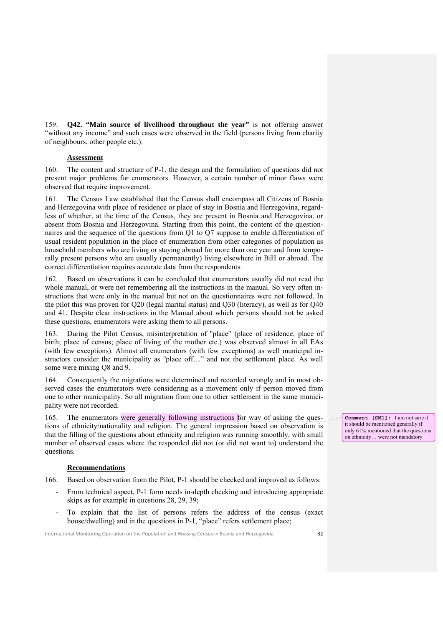159. **Q42. "Main source of livelihood throughout the year"** is not offering answer "without any income" and such cases were observed in the field (persons living from charity of neighbours, other people etc.).

## **Assessment**

160. The content and structure of P-1, the design and the formulation of questions did not present major problems for enumerators. However, a certain number of minor flaws were observed that require improvement.

161. The Census Law established that the Census shall encompass all Citizens of Bosnia and Herzegovina with place of residence or place of stay in Bosnia and Herzegovina, regardless of whether, at the time of the Census, they are present in Bosnia and Herzegovina, or absent from Bosnia and Herzegovina. Starting from this point, the content of the questionnaires and the sequence of the questions from Q1 to Q7 suppose to enable differentiation of usual resident population in the place of enumeration from other categories of population as household members who are living or staying abroad for more than one year and from temporally present persons who are usually (permanently) living elsewhere in BiH or abroad. The correct differentiation requires accurate data from the respondents.

162. Based on observations it can be concluded that enumerators usually did not read the whole manual, or were not remembering all the instructions in the manual. So very often instructions that were only in the manual but not on the questionnaires were not followed. In the pilot this was proven for Q20 (legal marital status) and Q30 (literacy), as well as for Q40 and 41. Despite clear instructions in the Manual about which persons should not be asked these questions, enumerators were asking them to all persons.

163. During the Pilot Census, misinterpretation of ''place" (place of residence; place of birth; place of census; place of living of the mother etc.) was observed almost in all EAs (with few exceptions). Almost all enumerators (with few exceptions) as well municipal instructors consider the municipality as ''place off…" and not the settlement place. As well some were mixing Q8 and 9.

164. Consequently the migrations were determined and recorded wrongly and in most observed cases the enumerators were considering as a movement only if person moved from one to other municipality. So all migration from one to other settlement in the same municipality were not recorded.

165. The enumerators were generally following instructions for way of asking the questions of ethnicity/nationality and religion. The general impression based on observation is that the filling of the questions about ethnicity and religion was running smoothly, with small number of observed cases where the responded did not (or did not want to) understand the questions.

#### **Recommendations**

- 166. Based on observation from the Pilot, P-1 should be checked and improved as follows:
	- From technical aspect, P-1 form needs in-depth checking and introducing appropriate skips as for example in questions 28, 29, 39;
	- To explain that the list of persons refers the address of the census (exact house/dwelling) and in the questions in P-1, "place" refers settlement place;

International Monitoring Operation on the Population and Housing Census in Bosnia and Herzegovina **32** 

**Comment [SM1]:** I am not sure if it should be mentioned generally if only 61% mentioned that the questions on ethnicity… were not mandatory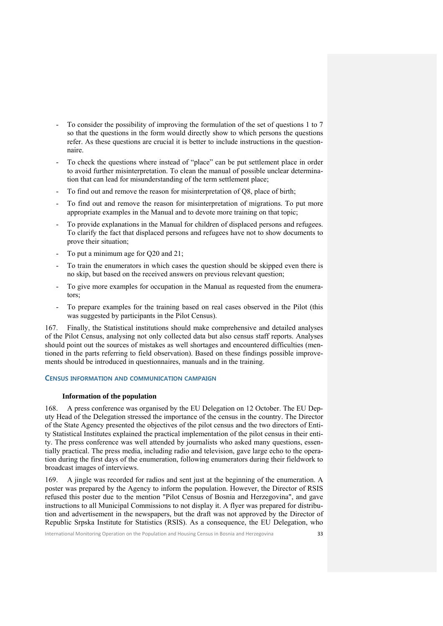- To consider the possibility of improving the formulation of the set of questions 1 to 7 so that the questions in the form would directly show to which persons the questions refer. As these questions are crucial it is better to include instructions in the questionnaire.
- To check the questions where instead of "place" can be put settlement place in order to avoid further misinterpretation. To clean the manual of possible unclear determination that can lead for misunderstanding of the term settlement place;
- To find out and remove the reason for misinterpretation of Q8, place of birth;
- To find out and remove the reason for misinterpretation of migrations. To put more appropriate examples in the Manual and to devote more training on that topic;
- To provide explanations in the Manual for children of displaced persons and refugees. To clarify the fact that displaced persons and refugees have not to show documents to prove their situation;
- To put a minimum age for Q20 and 21;
- To train the enumerators in which cases the question should be skipped even there is no skip, but based on the received answers on previous relevant question;
- To give more examples for occupation in the Manual as requested from the enumerators;
- To prepare examples for the training based on real cases observed in the Pilot (this was suggested by participants in the Pilot Census).

167. Finally, the Statistical institutions should make comprehensive and detailed analyses of the Pilot Census, analysing not only collected data but also census staff reports. Analyses should point out the sources of mistakes as well shortages and encountered difficulties (mentioned in the parts referring to field observation). Based on these findings possible improvements should be introduced in questionnaires, manuals and in the training.

## **CENSUS INFORMATION AND COMMUNICATION CAMPAIGN**

#### **Information of the population**

168. A press conference was organised by the EU Delegation on 12 October. The EU Deputy Head of the Delegation stressed the importance of the census in the country. The Director of the State Agency presented the objectives of the pilot census and the two directors of Entity Statistical Institutes explained the practical implementation of the pilot census in their entity. The press conference was well attended by journalists who asked many questions, essentially practical. The press media, including radio and television, gave large echo to the operation during the first days of the enumeration, following enumerators during their fieldwork to broadcast images of interviews.

169. A jingle was recorded for radios and sent just at the beginning of the enumeration. A poster was prepared by the Agency to inform the population. However, the Director of RSIS refused this poster due to the mention "Pilot Census of Bosnia and Herzegovina", and gave instructions to all Municipal Commissions to not display it. A flyer was prepared for distribution and advertisement in the newspapers, but the draft was not approved by the Director of Republic Srpska Institute for Statistics (RSIS). As a consequence, the EU Delegation, who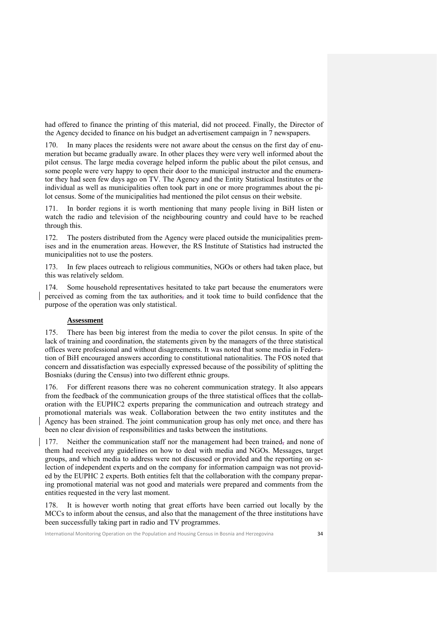had offered to finance the printing of this material, did not proceed. Finally, the Director of the Agency decided to finance on his budget an advertisement campaign in 7 newspapers.

170. In many places the residents were not aware about the census on the first day of enumeration but became gradually aware. In other places they were very well informed about the pilot census. The large media coverage helped inform the public about the pilot census, and some people were very happy to open their door to the municipal instructor and the enumerator they had seen few days ago on TV. The Agency and the Entity Statistical Institutes or the individual as well as municipalities often took part in one or more programmes about the pilot census. Some of the municipalities had mentioned the pilot census on their website.

In border regions it is worth mentioning that many people living in BiH listen or watch the radio and television of the neighbouring country and could have to be reached through this.

172. The posters distributed from the Agency were placed outside the municipalities premises and in the enumeration areas. However, the RS Institute of Statistics had instructed the municipalities not to use the posters.

173. In few places outreach to religious communities, NGOs or others had taken place, but this was relatively seldom.

174. Some household representatives hesitated to take part because the enumerators were perceived as coming from the tax authorities, and it took time to build confidence that the purpose of the operation was only statistical.

## **Assessment**

175. There has been big interest from the media to cover the pilot census. In spite of the lack of training and coordination, the statements given by the managers of the three statistical offices were professional and without disagreements. It was noted that some media in Federation of BiH encouraged answers according to constitutional nationalities. The FOS noted that concern and dissatisfaction was especially expressed because of the possibility of splitting the Bosniaks (during the Census) into two different ethnic groups.

176. For different reasons there was no coherent communication strategy. It also appears from the feedback of the communication groups of the three statistical offices that the collaboration with the EUPHC2 experts preparing the communication and outreach strategy and promotional materials was weak. Collaboration between the two entity institutes and the Agency has been strained. The joint communication group has only met once, and there has been no clear division of responsibilities and tasks between the institutions.

177. Neither the communication staff nor the management had been trained, and none of them had received any guidelines on how to deal with media and NGOs. Messages, target groups, and which media to address were not discussed or provided and the reporting on selection of independent experts and on the company for information campaign was not provided by the EUPHC 2 experts. Both entities felt that the collaboration with the company preparing promotional material was not good and materials were prepared and comments from the entities requested in the very last moment.

178. It is however worth noting that great efforts have been carried out locally by the MCCs to inform about the census, and also that the management of the three institutions have been successfully taking part in radio and TV programmes.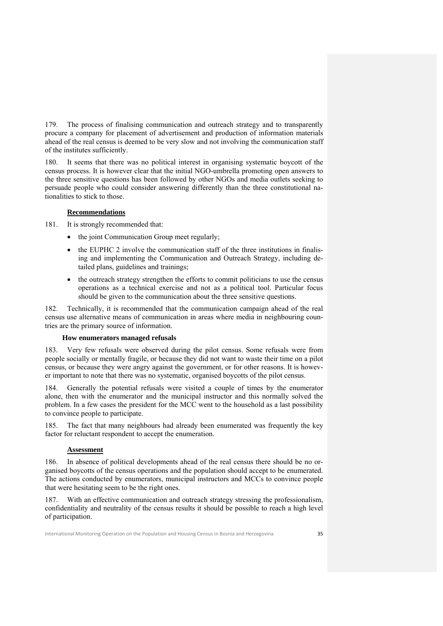179. The process of finalising communication and outreach strategy and to transparently procure a company for placement of advertisement and production of information materials ahead of the real census is deemed to be very slow and not involving the communication staff of the institutes sufficiently.

180. It seems that there was no political interest in organising systematic boycott of the census process. It is however clear that the initial NGO-umbrella promoting open answers to the three sensitive questions has been followed by other NGOs and media outlets seeking to persuade people who could consider answering differently than the three constitutional nationalities to stick to those.

## **Recommendations**

181. It is strongly recommended that:

- the joint Communication Group meet regularly;
- the EUPHC 2 involve the communication staff of the three institutions in finalising and implementing the Communication and Outreach Strategy, including detailed plans, guidelines and trainings;
- the outreach strategy strengthen the efforts to commit politicians to use the census operations as a technical exercise and not as a political tool. Particular focus should be given to the communication about the three sensitive questions.

182. Technically, it is recommended that the communication campaign ahead of the real census use alternative means of communication in areas where media in neighbouring countries are the primary source of information.

## **How enumerators managed refusals**

183. Very few refusals were observed during the pilot census. Some refusals were from people socially or mentally fragile, or because they did not want to waste their time on a pilot census, or because they were angry against the government, or for other reasons. It is however important to note that there was no systematic, organised boycotts of the pilot census.

184. Generally the potential refusals were visited a couple of times by the enumerator alone, then with the enumerator and the municipal instructor and this normally solved the problem. In a few cases the president for the MCC went to the household as a last possibility to convince people to participate.

185. The fact that many neighbours had already been enumerated was frequently the key factor for reluctant respondent to accept the enumeration.

## **Assessment**

186. In absence of political developments ahead of the real census there should be no organised boycotts of the census operations and the population should accept to be enumerated. The actions conducted by enumerators, municipal instructors and MCCs to convince people that were hesitating seem to be the right ones.

With an effective communication and outreach strategy stressing the professionalism, confidentiality and neutrality of the census results it should be possible to reach a high level of participation.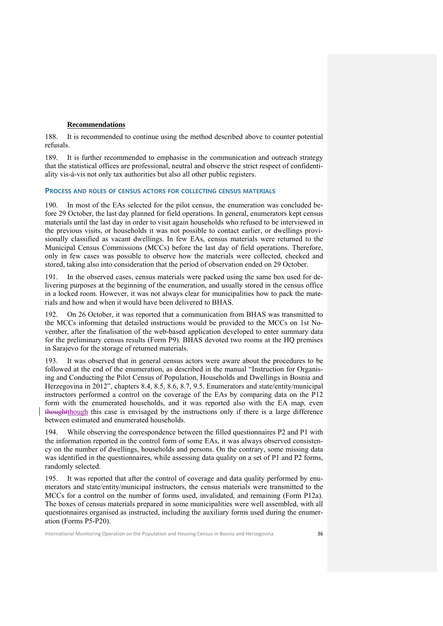## **Recommendations**

188. It is recommended to continue using the method described above to counter potential refusals.

189. It is further recommended to emphasise in the communication and outreach strategy that the statistical offices are professional, neutral and observe the strict respect of confidentiality vis-à-vis not only tax authorities but also all other public registers.

## **PROCESS AND ROLES OF CENSUS ACTORS FOR COLLECTING CENSUS MATERIALS**

190. In most of the EAs selected for the pilot census, the enumeration was concluded before 29 October, the last day planned for field operations. In general, enumerators kept census materials until the last day in order to visit again households who refused to be interviewed in the previous visits, or households it was not possible to contact earlier, or dwellings provisionally classified as vacant dwellings. In few EAs, census materials were returned to the Municipal Census Commissions (MCCs) before the last day of field operations. Therefore, only in few cases was possible to observe how the materials were collected, checked and stored, taking also into consideration that the period of observation ended on 29 October.

191. In the observed cases, census materials were packed using the same box used for delivering purposes at the beginning of the enumeration, and usually stored in the census office in a locked room. However, it was not always clear for municipalities how to pack the materials and how and when it would have been delivered to BHAS.

192. On 26 October, it was reported that a communication from BHAS was transmitted to the MCCs informing that detailed instructions would be provided to the MCCs on 1st November, after the finalisation of the web-based application developed to enter summary data for the preliminary census results (Form P9). BHAS devoted two rooms at the HQ premises in Sarajevo for the storage of returned materials.

193. It was observed that in general census actors were aware about the procedures to be followed at the end of the enumeration, as described in the manual "Instruction for Organising and Conducting the Pilot Census of Population, Households and Dwellings in Bosnia and Herzegovina in 2012", chapters 8.4, 8.5, 8.6, 8.7, 9.5. Enumerators and state/entity/municipal instructors performed a control on the coverage of the EAs by comparing data on the P12 form with the enumerated households, and it was reported also with the EA map, even thoughtthough this case is envisaged by the instructions only if there is a large difference between estimated and enumerated households.

While observing the correspondence between the filled questionnaires P2 and P1 with the information reported in the control form of some EAs, it was always observed consistency on the number of dwellings, households and persons. On the contrary, some missing data was identified in the questionnaires, while assessing data quality on a set of P1 and P2 forms, randomly selected.

195. It was reported that after the control of coverage and data quality performed by enumerators and state/entity/municipal instructors, the census materials were transmitted to the MCCs for a control on the number of forms used, invalidated, and remaining (Form P12a). The boxes of census materials prepared in some municipalities were well assembled, with all questionnaires organised as instructed, including the auxiliary forms used during the enumeration (Forms P5-P20).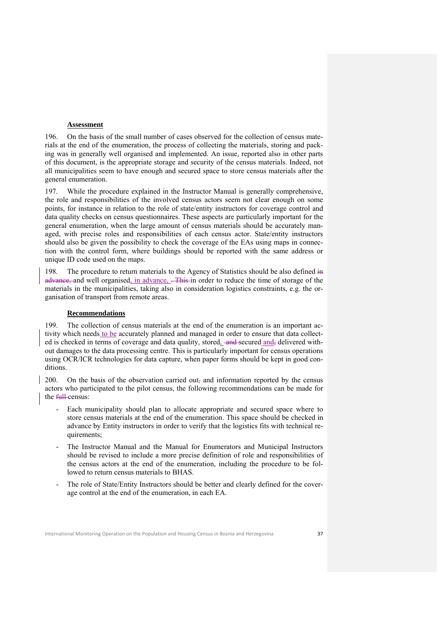## **Assessment**

196. On the basis of the small number of cases observed for the collection of census materials at the end of the enumeration, the process of collecting the materials, storing and packing was in generally well organised and implemented. An issue, reported also in other parts of this document, is the appropriate storage and security of the census materials. Indeed, not all municipalities seem to have enough and secured space to store census materials after the general enumeration.

197. While the procedure explained in the Instructor Manual is generally comprehensive, the role and responsibilities of the involved census actors seem not clear enough on some points, for instance in relation to the role of state/entity instructors for coverage control and data quality checks on census questionnaires. These aspects are particularly important for the general enumeration, when the large amount of census materials should be accurately managed, with precise roles and responsibilities of each census actor. State/entity instructors should also be given the possibility to check the coverage of the EAs using maps in connection with the control form, where buildings should be reported with the same address or unique ID code used on the maps.

198. The procedure to return materials to the Agency of Statistics should be also defined in advance, and well organised, in advance, . This in order to reduce the time of storage of the materials in the municipalities, taking also in consideration logistics constraints, e.g. the organisation of transport from remote areas.

## **Recommendations**

199. The collection of census materials at the end of the enumeration is an important activity which needs to be accurately planned and managed in order to ensure that data collected is checked in terms of coverage and data quality, stored, and secured and, delivered without damages to the data processing centre. This is particularly important for census operations using OCR/ICR technologies for data capture, when paper forms should be kept in good conditions.

200. On the basis of the observation carried out, and information reported by the census actors who participated to the pilot census, the following recommendations can be made for the full-census:

- Each municipality should plan to allocate appropriate and secured space where to store census materials at the end of the enumeration. This space should be checked in advance by Entity instructors in order to verify that the logistics fits with technical requirements;
- The Instructor Manual and the Manual for Enumerators and Municipal Instructors should be revised to include a more precise definition of role and responsibilities of the census actors at the end of the enumeration, including the procedure to be followed to return census materials to BHAS.
- The role of State/Entity Instructors should be better and clearly defined for the coverage control at the end of the enumeration, in each EA.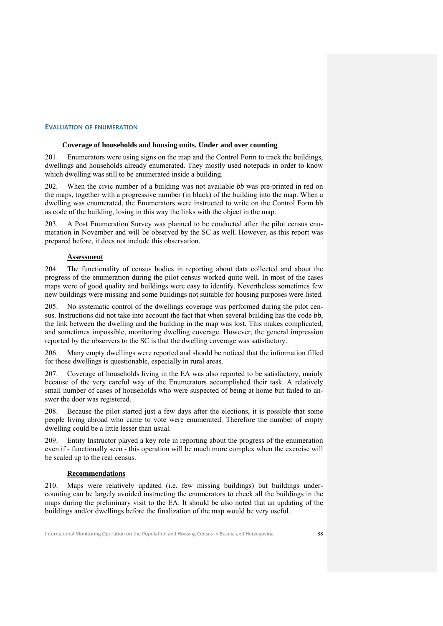## **EVALUATION OF ENUMERATION**

#### **Coverage of households and housing units. Under and over counting**

201. Enumerators were using signs on the map and the Control Form to track the buildings, dwellings and households already enumerated. They mostly used notepads in order to know which dwelling was still to be enumerated inside a building.

202. When the civic number of a building was not available *bb* was pre-printed in red on the maps, together with a progressive number (in black) of the building into the map. When a dwelling was enumerated, the Enumerators were instructed to write on the Control Form bb as code of the building, losing in this way the links with the object in the map.

203. A Post Enumeration Survey was planned to be conducted after the pilot census enumeration in November and will be observed by the SC as well. However, as this report was prepared before, it does not include this observation.

## **Assessment**

204. The functionality of census bodies in reporting about data collected and about the progress of the enumeration during the pilot census worked quite well. In most of the cases maps were of good quality and buildings were easy to identify. Nevertheless sometimes few new buildings were missing and some buildings not suitable for housing purposes were listed.

No systematic control of the dwellings coverage was performed during the pilot census. Instructions did not take into account the fact that when several building has the code *bb*, the link between the dwelling and the building in the map was lost. This makes complicated, and sometimes impossible, monitoring dwelling coverage. However, the general impression reported by the observers to the SC is that the dwelling coverage was satisfactory.

206. Many empty dwellings were reported and should be noticed that the information filled for those dwellings is questionable, especially in rural areas.

207. Coverage of households living in the EA was also reported to be satisfactory, mainly because of the very careful way of the Enumerators accomplished their task. A relatively small number of cases of households who were suspected of being at home but failed to answer the door was registered.

208. Because the pilot started just a few days after the elections, it is possible that some people living abroad who came to vote were enumerated. Therefore the number of empty dwelling could be a little lesser than usual.

209. Entity Instructor played a key role in reporting about the progress of the enumeration even if - functionally seen - this operation will be much more complex when the exercise will be scaled up to the real census.

#### **Recommendations**

210. Maps were relatively updated (i.e. few missing buildings) but buildings undercounting can be largely avoided instructing the enumerators to check all the buildings in the maps during the preliminary visit to the EA. It should be also noted that an updating of the buildings and/or dwellings before the finalization of the map would be very useful.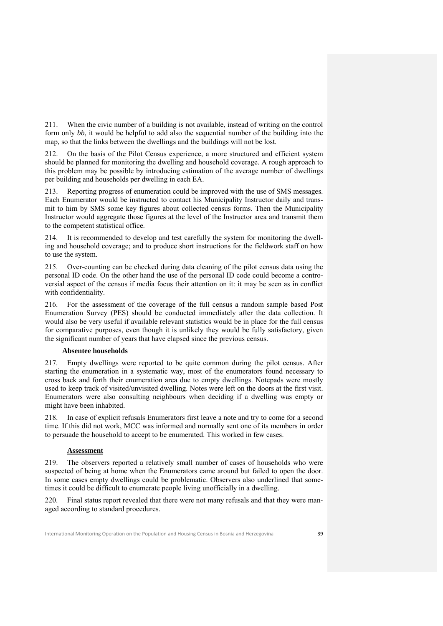211. When the civic number of a building is not available, instead of writing on the control form only *bb*, it would be helpful to add also the sequential number of the building into the map, so that the links between the dwellings and the buildings will not be lost.

212. On the basis of the Pilot Census experience, a more structured and efficient system should be planned for monitoring the dwelling and household coverage. A rough approach to this problem may be possible by introducing estimation of the average number of dwellings per building and households per dwelling in each EA.

213. Reporting progress of enumeration could be improved with the use of SMS messages. Each Enumerator would be instructed to contact his Municipality Instructor daily and transmit to him by SMS some key figures about collected census forms. Then the Municipality Instructor would aggregate those figures at the level of the Instructor area and transmit them to the competent statistical office.

214. It is recommended to develop and test carefully the system for monitoring the dwelling and household coverage; and to produce short instructions for the fieldwork staff on how to use the system.

Over-counting can be checked during data cleaning of the pilot census data using the personal ID code. On the other hand the use of the personal ID code could become a controversial aspect of the census if media focus their attention on it: it may be seen as in conflict with confidentiality.

216. For the assessment of the coverage of the full census a random sample based Post Enumeration Survey (PES) should be conducted immediately after the data collection. It would also be very useful if available relevant statistics would be in place for the full census for comparative purposes, even though it is unlikely they would be fully satisfactory, given the significant number of years that have elapsed since the previous census.

## **Absentee households**

217. Empty dwellings were reported to be quite common during the pilot census. After starting the enumeration in a systematic way, most of the enumerators found necessary to cross back and forth their enumeration area due to empty dwellings. Notepads were mostly used to keep track of visited/unvisited dwelling. Notes were left on the doors at the first visit. Enumerators were also consulting neighbours when deciding if a dwelling was empty or might have been inhabited.

218. In case of explicit refusals Enumerators first leave a note and try to come for a second time. If this did not work, MCC was informed and normally sent one of its members in order to persuade the household to accept to be enumerated. This worked in few cases.

## **Assessment**

219. The observers reported a relatively small number of cases of households who were suspected of being at home when the Enumerators came around but failed to open the door. In some cases empty dwellings could be problematic. Observers also underlined that sometimes it could be difficult to enumerate people living unofficially in a dwelling.

Final status report revealed that there were not many refusals and that they were managed according to standard procedures.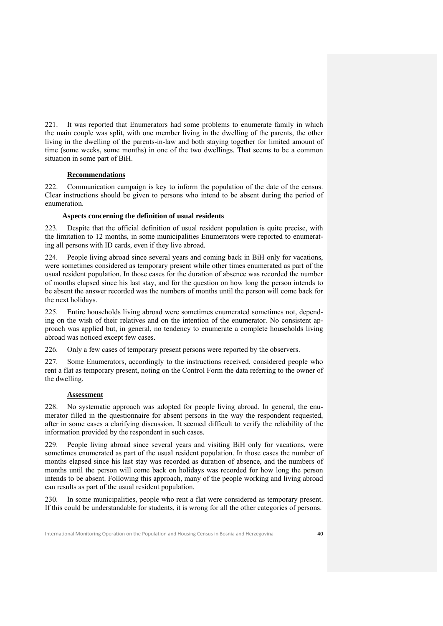221. It was reported that Enumerators had some problems to enumerate family in which the main couple was split, with one member living in the dwelling of the parents, the other living in the dwelling of the parents-in-law and both staying together for limited amount of time (some weeks, some months) in one of the two dwellings. That seems to be a common situation in some part of BiH.

## **Recommendations**

222. Communication campaign is key to inform the population of the date of the census. Clear instructions should be given to persons who intend to be absent during the period of enumeration.

## **Aspects concerning the definition of usual residents**

223. Despite that the official definition of usual resident population is quite precise, with the limitation to 12 months, in some municipalities Enumerators were reported to enumerating all persons with ID cards, even if they live abroad.

224. People living abroad since several years and coming back in BiH only for vacations, were sometimes considered as temporary present while other times enumerated as part of the usual resident population. In those cases for the duration of absence was recorded the number of months elapsed since his last stay, and for the question on how long the person intends to be absent the answer recorded was the numbers of months until the person will come back for the next holidays.

225. Entire households living abroad were sometimes enumerated sometimes not, depending on the wish of their relatives and on the intention of the enumerator. No consistent approach was applied but, in general, no tendency to enumerate a complete households living abroad was noticed except few cases.

226. Only a few cases of temporary present persons were reported by the observers.

227. Some Enumerators, accordingly to the instructions received, considered people who rent a flat as temporary present, noting on the Control Form the data referring to the owner of the dwelling.

## **Assessment**

228. No systematic approach was adopted for people living abroad. In general, the enumerator filled in the questionnaire for absent persons in the way the respondent requested, after in some cases a clarifying discussion. It seemed difficult to verify the reliability of the information provided by the respondent in such cases.

229. People living abroad since several years and visiting BiH only for vacations, were sometimes enumerated as part of the usual resident population. In those cases the number of months elapsed since his last stay was recorded as duration of absence, and the numbers of months until the person will come back on holidays was recorded for how long the person intends to be absent. Following this approach, many of the people working and living abroad can results as part of the usual resident population.

230. In some municipalities, people who rent a flat were considered as temporary present. If this could be understandable for students, it is wrong for all the other categories of persons.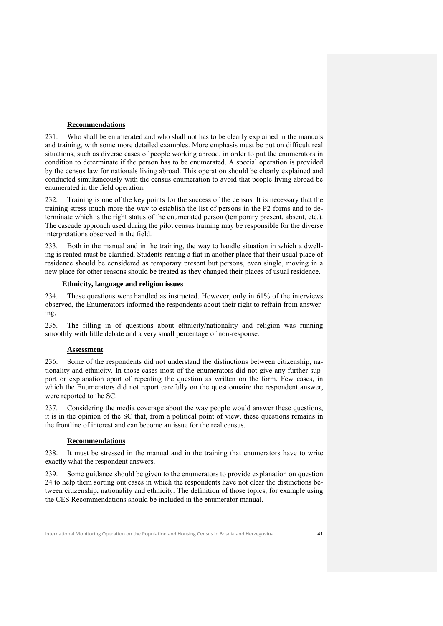## **Recommendations**

231. Who shall be enumerated and who shall not has to be clearly explained in the manuals and training, with some more detailed examples. More emphasis must be put on difficult real situations, such as diverse cases of people working abroad, in order to put the enumerators in condition to determinate if the person has to be enumerated. A special operation is provided by the census law for nationals living abroad. This operation should be clearly explained and conducted simultaneously with the census enumeration to avoid that people living abroad be enumerated in the field operation.

232. Training is one of the key points for the success of the census. It is necessary that the training stress much more the way to establish the list of persons in the P2 forms and to determinate which is the right status of the enumerated person (temporary present, absent, etc.). The cascade approach used during the pilot census training may be responsible for the diverse interpretations observed in the field.

233. Both in the manual and in the training, the way to handle situation in which a dwelling is rented must be clarified. Students renting a flat in another place that their usual place of residence should be considered as temporary present but persons, even single, moving in a new place for other reasons should be treated as they changed their places of usual residence.

## **Ethnicity, language and religion issues**

234. These questions were handled as instructed. However, only in 61% of the interviews observed, the Enumerators informed the respondents about their right to refrain from answering.

235. The filling in of questions about ethnicity/nationality and religion was running smoothly with little debate and a very small percentage of non-response.

## **Assessment**

236. Some of the respondents did not understand the distinctions between citizenship, nationality and ethnicity. In those cases most of the enumerators did not give any further support or explanation apart of repeating the question as written on the form. Few cases, in which the Enumerators did not report carefully on the questionnaire the respondent answer, were reported to the SC.

237. Considering the media coverage about the way people would answer these questions, it is in the opinion of the SC that, from a political point of view, these questions remains in the frontline of interest and can become an issue for the real census.

#### **Recommendations**

238. It must be stressed in the manual and in the training that enumerators have to write exactly what the respondent answers.

239. Some guidance should be given to the enumerators to provide explanation on question 24 to help them sorting out cases in which the respondents have not clear the distinctions between citizenship, nationality and ethnicity. The definition of those topics, for example using the CES Recommendations should be included in the enumerator manual.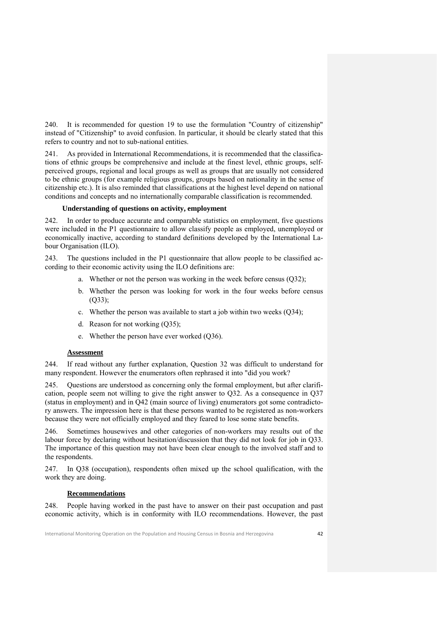240. It is recommended for question 19 to use the formulation "Country of citizenship" instead of "Citizenship" to avoid confusion. In particular, it should be clearly stated that this refers to country and not to sub-national entities.

241. As provided in International Recommendations, it is recommended that the classifications of ethnic groups be comprehensive and include at the finest level, ethnic groups, selfperceived groups, regional and local groups as well as groups that are usually not considered to be ethnic groups (for example religious groups, groups based on nationality in the sense of citizenship etc.). It is also reminded that classifications at the highest level depend on national conditions and concepts and no internationally comparable classification is recommended.

## **Understanding of questions on activity, employment**

242. In order to produce accurate and comparable statistics on employment, five questions were included in the P1 questionnaire to allow classify people as employed, unemployed or economically inactive, according to standard definitions developed by the International Labour Organisation (ILO).

243. The questions included in the P1 questionnaire that allow people to be classified according to their economic activity using the ILO definitions are:

- a. Whether or not the person was working in the week before census (Q32);
- b. Whether the person was looking for work in the four weeks before census  $(Q33)$ ;
- c. Whether the person was available to start a job within two weeks (Q34);
- d. Reason for not working (Q35);
- e. Whether the person have ever worked (Q36).

## **Assessment**

244. If read without any further explanation, Question 32 was difficult to understand for many respondent. However the enumerators often rephrased it into "did you work?

245. Questions are understood as concerning only the formal employment, but after clarification, people seem not willing to give the right answer to Q32. As a consequence in Q37 (status in employment) and in Q42 (main source of living) enumerators got some contradictory answers. The impression here is that these persons wanted to be registered as non-workers because they were not officially employed and they feared to lose some state benefits.

246. Sometimes housewives and other categories of non-workers may results out of the labour force by declaring without hesitation/discussion that they did not look for job in Q33. The importance of this question may not have been clear enough to the involved staff and to the respondents.

247. In Q38 (occupation), respondents often mixed up the school qualification, with the work they are doing.

## **Recommendations**

248. People having worked in the past have to answer on their past occupation and past economic activity, which is in conformity with ILO recommendations. However, the past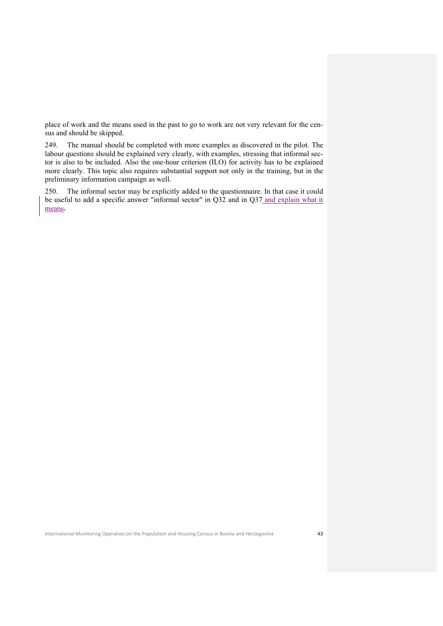place of work and the means used in the past to go to work are not very relevant for the census and should be skipped.

249. The manual should be completed with more examples as discovered in the pilot. The labour questions should be explained very clearly, with examples, stressing that informal sector is also to be included. Also the one-hour criterion (ILO) for activity has to be explained more clearly. This topic also requires substantial support not only in the training, but in the preliminary information campaign as well.

250. The informal sector may be explicitly added to the questionnaire. In that case it could be useful to add a specific answer "informal sector" in Q32 and in Q37 and explain what it means.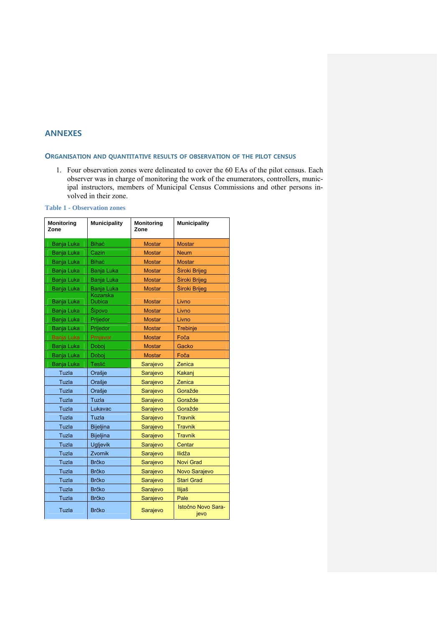## **ANNEXES**

## **ORGANISATION AND QUANTITATIVE RESULTS OF OBSERVATION OF THE PILOT CENSUS**

1. Four observation zones were delineated to cover the 60 EAs of the pilot census. Each observer was in charge of monitoring the work of the enumerators, controllers, municipal instructors, members of Municipal Census Commissions and other persons involved in their zone.

| <b>Monitoring</b><br>Zone | <b>Municipality</b>       |               | <b>Municipality</b>        |
|---------------------------|---------------------------|---------------|----------------------------|
| <b>Banja Luka</b>         | <b>Bihać</b>              | <b>Mostar</b> | <b>Mostar</b>              |
| <b>Banja Luka</b>         | Cazin                     | <b>Mostar</b> | <b>Neum</b>                |
| Banja Luka                | <b>Bihać</b>              | <b>Mostar</b> | <b>Mostar</b>              |
| <b>Banja Luka</b>         | <b>Banja Luka</b>         | <b>Mostar</b> | Široki Brijeg              |
| <b>Banja Luka</b>         | Banja Luka                | <b>Mostar</b> | Široki Brijeg              |
| Banja Luka                | Banja Luka                | <b>Mostar</b> | Široki Brijeg              |
| Banja Luka                | Kozarska<br><b>Dubica</b> | <b>Mostar</b> | Livno                      |
| <b>Banja Luka</b>         | Šipovo                    | <b>Mostar</b> | Livno                      |
| Banja Luka                | Prijedor                  | <b>Mostar</b> | Livno                      |
| <b>Banja Luka</b>         | Prijedor                  | <b>Mostar</b> | Trebinje                   |
| Banja Luka                | Prnjavor                  | <b>Mostar</b> | Foča                       |
| Banja Luka                | Doboj                     | <b>Mostar</b> | Gacko                      |
| Banja Luka                | Doboj                     | <b>Mostar</b> | Foča                       |
| <b>Banja Luka</b>         | Teslić                    | Sarajevo      | Zenica                     |
| Tuzla                     | Orašje                    | Sarajevo      | Kakani                     |
| Tuzla                     | Orašje                    | Sarajevo      | Zenica                     |
| Tuzla                     | Orašje                    | Sarajevo      | Goražde                    |
| Tuzla                     | Tuzla                     | Sarajevo      | Goražde                    |
| Tuzla                     | Lukavac                   | Sarajevo      | Goražde                    |
| Tuzla                     | Tuzla                     | Sarajevo      | <b>Travnik</b>             |
| Tuzla                     | <b>Bijeljina</b>          | Sarajevo      | <b>Travnik</b>             |
| Tuzla                     | <b>Bijeljina</b>          | Sarajevo      | <b>Travnik</b>             |
| Tuzla                     | <b>Ugljevik</b>           | Sarajevo      | Centar                     |
| Tuzla                     | Zvornik                   | Sarajevo      | llidža                     |
| Tuzla                     | <b>Brčko</b>              | Sarajevo      | <b>Novi Grad</b>           |
| Tuzla                     | <b>Brčko</b>              | Sarajevo      | Novo Sarajevo              |
| Tuzla                     | <b>Brčko</b>              | Sarajevo      | <b>Stari Grad</b>          |
| Tuzla                     | <b>Brčko</b>              | Sarajevo      | <b>Ilijaš</b>              |
| Tuzla                     | <b>Brčko</b>              | Sarajevo      | Pale                       |
| Tuzla                     | <b>Brčko</b>              | Sarajevo      | Istočno Novo Sara-<br>jevo |

**Table 1 - Observation zones**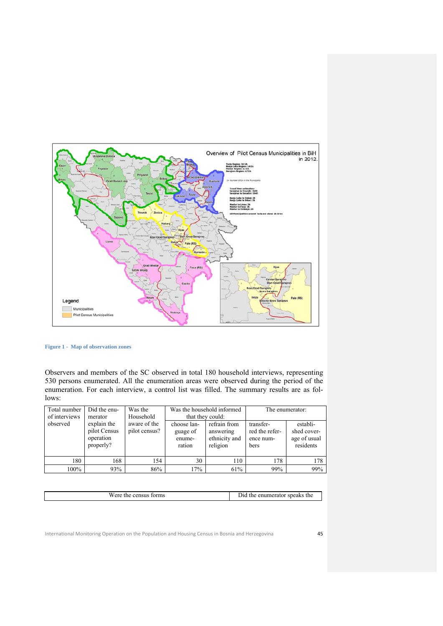

**Figure 1 - Map of observation zones** 

Observers and members of the SC observed in total 180 household interviews, representing 530 persons enumerated. All the enumeration areas were observed during the period of the enumeration. For each interview, a control list was filled. The summary results are as follows:

| Total number<br>of interviews | Did the enu-<br>Was the<br>Household<br>merator       |                               | Was the household informed<br>that they could: |                                                        |                                                  | The enumerator:                                      |
|-------------------------------|-------------------------------------------------------|-------------------------------|------------------------------------------------|--------------------------------------------------------|--------------------------------------------------|------------------------------------------------------|
| observed                      | explain the<br>pilot Census<br>operation<br>properly? | aware of the<br>pilot census? | choose lan-<br>guage of<br>enume-<br>ration    | refrain from<br>answering<br>ethnicity and<br>religion | transfer-<br>red the refer-<br>ence num-<br>bers | establi-<br>shed cover-<br>age of usual<br>residents |
| 180                           | 168                                                   | 154                           | 30                                             | 110                                                    | 178                                              | 178                                                  |
| 100%                          | 93%                                                   | 86%                           | 17%                                            | 61%                                                    | 99%                                              | 99%                                                  |

| Were   | speaks the |
|--------|------------|
| torms  | enumerator |
| the    | the i      |
| census | ,,,        |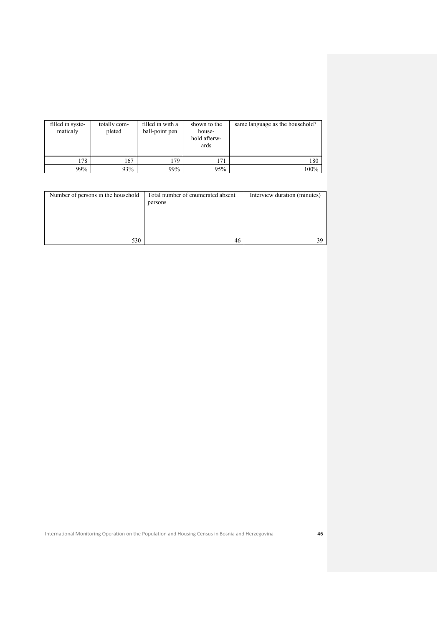| filled in syste-<br>maticaly | totally com-<br>pleted | filled in with a<br>ball-point pen | shown to the<br>house-<br>hold afterw-<br>ards | same language as the household? |
|------------------------------|------------------------|------------------------------------|------------------------------------------------|---------------------------------|
| 178                          | 167                    | 179                                | 171                                            | 180                             |
| 99%                          | 93%                    | 99%                                | 95%                                            | 100%                            |

| Number of persons in the household | Total number of enumerated absent<br>persons | Interview duration (minutes) |
|------------------------------------|----------------------------------------------|------------------------------|
| 530                                | 46                                           | 39                           |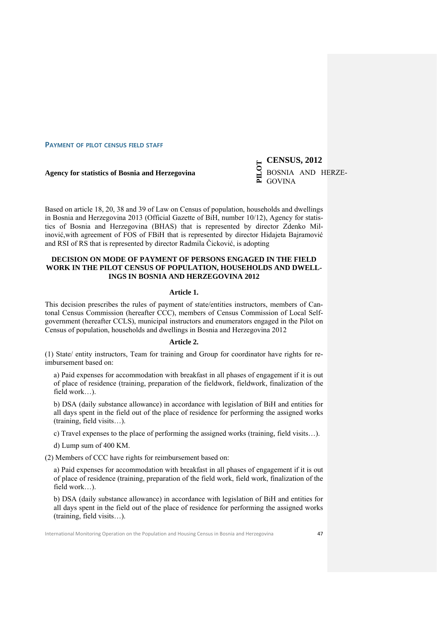**PAYMENT OF PILOT CENSUS FIELD STAFF**

**Agency for statistics of Bosnia and Herzegovina** 

**PRILOT CENSUS, 2012 BOSNIA AND HERZE-**GOVINA

Based on article 18, 20, 38 and 39 of Law on Census of population, households and dwellings in Bosnia and Herzegovina 2013 (Official Gazette of BiH, number 10/12), Agency for statistics of Bosnia and Herzegovina (BHAS) that is represented by director Zdenko Milinović,with agreement of FOS of FBiH that is represented by director Hidajeta Bajramović and RSI of RS that is represented by director Radmila Čicković, is adopting

## **DECISION ON MODE OF PAYMENT OF PERSONS ENGAGED IN THE FIELD WORK IN THE PILOT CENSUS OF POPULATION, HOUSEHOLDS AND DWELL-INGS IN BOSNIA AND HERZEGOVINA 2012**

## **Article 1.**

This decision prescribes the rules of payment of state/entities instructors, members of Cantonal Census Commission (hereafter CCC), members of Census Commission of Local Selfgovernment (hereafter CCLS), municipal instructors and enumerators engaged in the Pilot on Census of population, households and dwellings in Bosnia and Herzegovina 2012

## **Article 2.**

(1) State/ entity instructors, Team for training and Group for coordinator have rights for reimbursement based on:

a) Paid expenses for accommodation with breakfast in all phases of engagement if it is out of place of residence (training, preparation of the fieldwork, fieldwork, finalization of the field work…).

b) DSA (daily substance allowance) in accordance with legislation of BiH and entities for all days spent in the field out of the place of residence for performing the assigned works (training, field visits…).

c) Travel expenses to the place of performing the assigned works (training, field visits…).

d) Lump sum of 400 KM.

(2) Members of CCC have rights for reimbursement based on:

a) Paid expenses for accommodation with breakfast in all phases of engagement if it is out of place of residence (training, preparation of the field work, field work, finalization of the field work…).

b) DSA (daily substance allowance) in accordance with legislation of BiH and entities for all days spent in the field out of the place of residence for performing the assigned works (training, field visits…).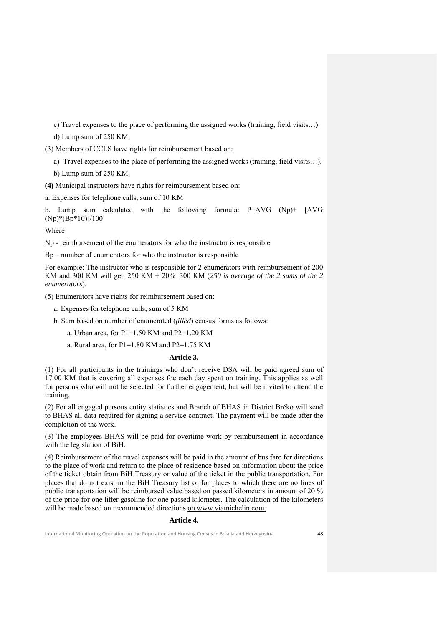c) Travel expenses to the place of performing the assigned works (training, field visits…).

d) Lump sum of 250 KM.

(3) Members of CCLS have rights for reimbursement based on:

a) Travel expenses to the place of performing the assigned works (training, field visits…).

b) Lump sum of 250 KM.

**(4)** Municipal instructors have rights for reimbursement based on:

a. Expenses for telephone calls, sum of 10 KM

b. Lump sum calculated with the following formula: P=AVG (Np)+ [AVG (Np)\*(Bp\*10)]/100

Where

Np - reimbursement of the enumerators for who the instructor is responsible

Bp – number of enumerators for who the instructor is responsible

For example: The instructor who is responsible for 2 enumerators with reimbursement of 200 KM and 300 KM will get: 250 KM + 20%=300 KM (*250 is average of the 2 sums of the 2 enumerators*).

(5) Enumerators have rights for reimbursement based on:

a. Expenses for telephone calls, sum of 5 KM

b. Sum based on number of enumerated (*filled*) census forms as follows:

a. Urban area, for P1=1.50 KM and P2=1.20 KM

a. Rural area, for P1=1.80 KM and P2=1.75 KM

#### **Article 3.**

(1) For all participants in the trainings who don't receive DSA will be paid agreed sum of 17.00 KM that is covering all expenses foe each day spent on training. This applies as well for persons who will not be selected for further engagement, but will be invited to attend the training.

(2) For all engaged persons entity statistics and Branch of BHAS in District Brčko will send to BHAS all data required for signing a service contract. The payment will be made after the completion of the work.

(3) The employees BHAS will be paid for overtime work by reimbursement in accordance with the legislation of BiH.

(4) Reimbursement of the travel expenses will be paid in the amount of bus fare for directions to the place of work and return to the place of residence based on information about the price of the ticket obtain from BiH Treasury or value of the ticket in the public transportation. For places that do not exist in the BiH Treasury list or for places to which there are no lines of public transportation will be reimbursed value based on passed kilometers in amount of 20 % of the price for one litter gasoline for one passed kilometer. The calculation of the kilometers will be made based on recommended directions on www.viamichelin.com.

## **Article 4.**

International Monitoring Operation on the Population and Housing Census in Bosnia and Herzegovina 48